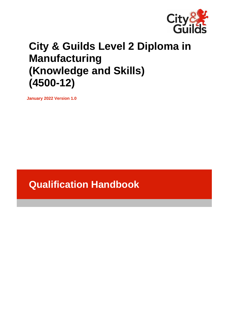

# **City & Guilds Level 2 Diploma in Manufacturing (Knowledge and Skills) (4500-12)**

**January 2022 Version 1.0**

# **Qualification Handbook**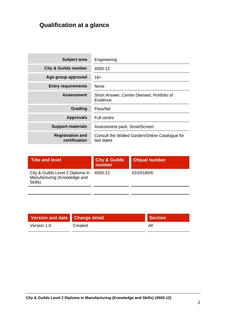# **Qualification at a glance**

| Subject area                             | Engineering                                                  |
|------------------------------------------|--------------------------------------------------------------|
| <b>City &amp; Guilds number</b>          | 4500-12                                                      |
| Age group approved                       | $16+$                                                        |
| <b>Entry requirements</b>                | <b>None</b>                                                  |
| <b>Assessment</b>                        | Short Answer, Centre Devised, Portfolio of<br>Evidence       |
| Grading                                  | Pass/fail                                                    |
| <b>Approvals</b>                         | Full centre                                                  |
| <b>Support materials</b>                 | Assessment pack, SmartScreen                                 |
| <b>Registration and</b><br>certification | Consult the Walled Garden/Online Catalogue for<br>last dates |

| <b>Title and level</b>                                                      | <b>City &amp; Guilds</b><br>number | Ofqual number |
|-----------------------------------------------------------------------------|------------------------------------|---------------|
| City & Guilds Level 2 Diploma in<br>Manufacturing (Knowledge and<br>Skills) | 4500-12                            | 610/0180/6    |
|                                                                             |                                    |               |

| Version and date Change detail |         | <b>Section</b> |
|--------------------------------|---------|----------------|
| Version 1.0                    | Created | Αll            |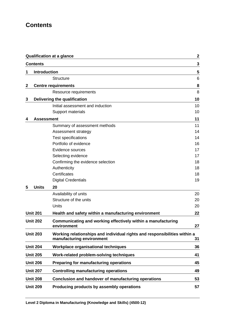# **Contents**

|                  |                     | <b>Qualification at a glance</b>                                                                       | $\mathbf 2$ |
|------------------|---------------------|--------------------------------------------------------------------------------------------------------|-------------|
|                  | <b>Contents</b>     |                                                                                                        | 3           |
| 1                | <b>Introduction</b> |                                                                                                        | 5           |
|                  |                     | <b>Structure</b>                                                                                       | 6           |
| $\boldsymbol{2}$ |                     | <b>Centre requirements</b>                                                                             | 8           |
|                  |                     | Resource requirements                                                                                  | 8           |
| 3                |                     | Delivering the qualification                                                                           | 10          |
|                  |                     | Initial assessment and induction                                                                       | 10          |
|                  |                     | Support materials                                                                                      | 10          |
| 4                | <b>Assessment</b>   |                                                                                                        | 11          |
|                  |                     | Summary of assessment methods                                                                          | 11          |
|                  |                     | Assessment strategy                                                                                    | 14          |
|                  |                     | <b>Test specifications</b>                                                                             | 14          |
|                  |                     | Portfolio of evidence                                                                                  | 16          |
|                  |                     | Evidence sources                                                                                       | 17          |
|                  |                     | Selecting evidence                                                                                     | 17          |
|                  |                     | Confirming the evidence selection                                                                      | 18          |
|                  |                     | Authenticity                                                                                           | 18          |
|                  |                     | Certificates                                                                                           | 18          |
|                  |                     | <b>Digital Credentials</b>                                                                             | 19          |
| 5                | <b>Units</b>        | 20                                                                                                     |             |
|                  |                     | Availability of units                                                                                  | 20          |
|                  |                     | Structure of the units                                                                                 | 20          |
|                  |                     | Units                                                                                                  | 20          |
|                  | <b>Unit 201</b>     | Health and safety within a manufacturing environment                                                   | 22          |
|                  | <b>Unit 202</b>     | Communicating and working effectively within a manufacturing                                           |             |
|                  |                     | environment                                                                                            | 27          |
|                  | <b>Unit 203</b>     | Working relationships and individual rights and responsibilities within a<br>manufacturing environment | 31          |
|                  | <b>Unit 204</b>     | Workplace organisational techniques                                                                    | 36          |
|                  | <b>Unit 205</b>     | Work-related problem-solving techniques                                                                | 41          |
|                  | <b>Unit 206</b>     | Preparing for manufacturing operations                                                                 | 45          |
|                  | <b>Unit 207</b>     | <b>Controlling manufacturing operations</b>                                                            | 49          |
|                  | <b>Unit 208</b>     | Conclusion and handover of manufacturing operations                                                    | 53          |
|                  | <b>Unit 209</b>     | Producing products by assembly operations                                                              | 57          |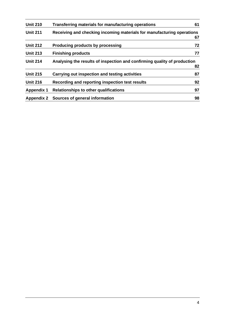| <b>Unit 210</b>   | Transferring materials for manufacturing operations                      | 61 |
|-------------------|--------------------------------------------------------------------------|----|
| <b>Unit 211</b>   | Receiving and checking incoming materials for manufacturing operations   | 67 |
| <b>Unit 212</b>   | <b>Producing products by processing</b>                                  | 72 |
| <b>Unit 213</b>   | <b>Finishing products</b>                                                | 77 |
| <b>Unit 214</b>   | Analysing the results of inspection and confirming quality of production | 82 |
| <b>Unit 215</b>   | Carrying out inspection and testing activities                           | 87 |
| <b>Unit 216</b>   | Recording and reporting inspection test results                          | 92 |
| <b>Appendix 1</b> | Relationships to other qualifications                                    | 97 |
| <b>Appendix 2</b> | Sources of general information                                           | 98 |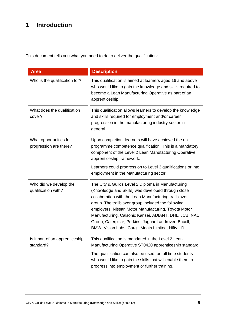# **1 Introduction**

This document tells you what you need to do to deliver the qualification:

| <b>Area</b>                                      | <b>Description</b>                                                                                                                                                                                                                                                                                                                                                                                                                                        |
|--------------------------------------------------|-----------------------------------------------------------------------------------------------------------------------------------------------------------------------------------------------------------------------------------------------------------------------------------------------------------------------------------------------------------------------------------------------------------------------------------------------------------|
| Who is the qualification for?                    | This qualification is aimed at learners aged 16 and above<br>who would like to gain the knowledge and skills required to<br>become a Lean Manufacturing Operative as part of an<br>apprenticeship.                                                                                                                                                                                                                                                        |
| What does the qualification<br>cover?            | This qualification allows learners to develop the knowledge<br>and skills required for employment and/or career<br>progression in the manufacturing industry sector in<br>general.                                                                                                                                                                                                                                                                        |
| What opportunities for<br>progression are there? | Upon completion, learners will have achieved the on-<br>programme competence qualification. This is a mandatory<br>component of the Level 2 Lean Manufacturing Operative<br>apprenticeship framework.                                                                                                                                                                                                                                                     |
|                                                  | Learners could progress on to Level 3 qualifications or into<br>employment in the Manufacturing sector.                                                                                                                                                                                                                                                                                                                                                   |
| Who did we develop the<br>qualification with?    | The City & Guilds Level 2 Diploma in Manufacturing<br>(Knowledge and Skills) was developed through close<br>collaboration with the Lean Manufacturing trailblazer<br>group. The trailblazer group included the following<br>employers: Nissan Motor Manufacturing, Toyota Motor<br>Manufacturing, Calsonic Kansei, ADIANT, DHL, JCB, NAC<br>Group, Caterpillar, Perkins, Jaguar Landrover, Bacoll,<br>BMW, Vision Labs, Cargill Meats Limited, Nifty Lift |
| Is it part of an apprenticeship<br>standard?     | This qualification is mandated in the Level 2 Lean<br>Manufacturing Operative ST0420 apprenticeship standard.                                                                                                                                                                                                                                                                                                                                             |
|                                                  | The qualification can also be used for full time students<br>who would like to gain the skills that will enable them to<br>progress into employment or further training.                                                                                                                                                                                                                                                                                  |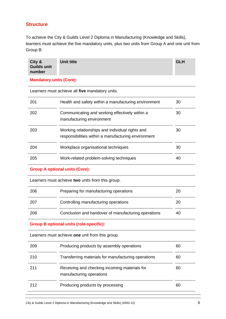# **Structure**

To achieve the City & Guilds Level 2 Diploma in Manufacturing (Knowledge and Skills), learners must achieve the five mandatory units, plus two units from Group A and one unit from Group B:

| City &<br><b>Guilds unit</b><br>number | Unit title | <b>GLH</b> |
|----------------------------------------|------------|------------|
| <b>Mandatory units (Core):</b>         |            |            |

Learners must achieve all **five** mandatory units. 201 Health and safety within a manufacturing environment 30 202 Communicating and working effectively within a manufacturing environment 30 203 Working relationships and individual rights and responsibilities within a manufacturing environment 30 204 Workplace organisational techniques 30 205 Work-related problem-solving techniques 40 **Group A optional units (Core):**

Learners must achieve **two** units from this group.

| 206  | Preparing for manufacturing operations              | 20 |
|------|-----------------------------------------------------|----|
| -207 | Controlling manufacturing operations                | 20 |
| 208  | Conclusion and handover of manufacturing operations | 40 |

### **Group B optional units (role-specific):**

Learners must achieve **one** unit from this group.

| 209 | Producing products by assembly operations                                 | 60 |
|-----|---------------------------------------------------------------------------|----|
| 210 | Transferring materials for manufacturing operations                       | 60 |
| 211 | Receiving and checking incoming materials for<br>manufacturing operations | 60 |
| 212 | Producing products by processing                                          | 60 |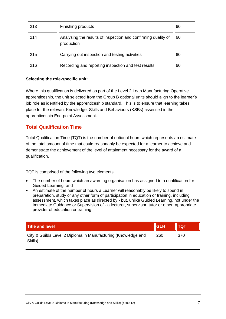| 213 | Finishing products                                                          | 60 |
|-----|-----------------------------------------------------------------------------|----|
| 214 | Analysing the results of inspection and confirming quality of<br>production | 60 |
| 215 | Carrying out inspection and testing activities                              | 60 |
| 216 | Recording and reporting inspection and test results                         | 60 |

### **Selecting the role-specific unit:**

Where this qualification is delivered as part of the Level 2 Lean Manufacturing Operative apprenticeship, the unit selected from the Group B optional units should align to the learner's job role as identified by the apprenticeship standard. This is to ensure that learning takes place for the relevant Knowledge, Skills and Behaviours (KSBs) assessed in the apprenticeship End-point Assessment.

## **Total Qualification Time**

Total Qualification Time (TQT) is the number of notional hours which represents an estimate of the total amount of time that could reasonably be expected for a learner to achieve and demonstrate the achievement of the level of attainment necessary for the award of a qualification.

TQT is comprised of the following two elements:

- The number of hours which an awarding organisation has assigned to a qualification for Guided Learning, and
- An estimate of the number of hours a Learner will reasonably be likely to spend in preparation, study or any other form of participation in education or training, including assessment, which takes place as directed by - but, unlike Guided Learning, not under the Immediate Guidance or Supervision of - a lecturer, supervisor, tutor or other, appropriate provider of education or training

| <b>Title and level</b>                                                   | GLH | $\blacksquare$ TQT |
|--------------------------------------------------------------------------|-----|--------------------|
| City & Guilds Level 2 Diploma in Manufacturing (Knowledge and<br>Skills) | 260 | 370                |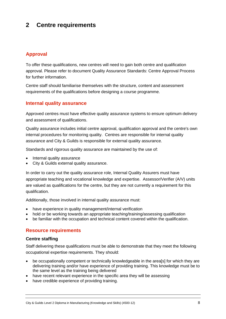# **2 Centre requirements**

# **Approval**

To offer these qualifications, new centres will need to gain both centre and qualification approval. Please refer to document Quality Assurance Standards: Centre Approval Process for further information.

Centre staff should familiarise themselves with the structure, content and assessment requirements of the qualifications before designing a course programme.

# **Internal quality assurance**

Approved centres must have effective quality assurance systems to ensure optimum delivery and assessment of qualifications.

Quality assurance includes initial centre approval, qualification approval and the centre's own internal procedures for monitoring quality. Centres are responsible for internal quality assurance and City & Guilds is responsible for external quality assurance.

Standards and rigorous quality assurance are maintained by the use of:

- Internal quality assurance
- City & Guilds external quality assurance.

In order to carry out the quality assurance role, Internal Quality Assurers must have appropriate teaching and vocational knowledge and expertise. Assessor/Verifier (A/V) units are valued as qualifications for the centre, but they are not currently a requirement for this qualification.

Additionally, those involved in internal quality assurance must:

- have experience in quality management/internal verification
- hold or be working towards an appropriate teaching/training/assessing qualification
- be familiar with the occupation and technical content covered within the qualification.

### **Resource requirements**

### **Centre staffing**

Staff delivering these qualifications must be able to demonstrate that they meet the following occupational expertise requirements. They should:

- be occupationally competent or technically knowledgeable in the area[s] for which they are delivering training and/or have experience of providing training. This knowledge must be to the same level as the training being delivered
- have recent relevant experience in the specific area they will be assessing
- have credible experience of providing training.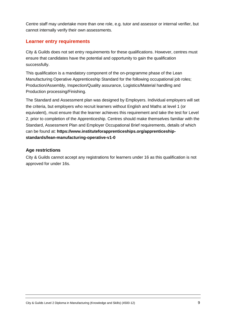Centre staff may undertake more than one role, e.g. tutor and assessor or internal verifier, but cannot internally verify their own assessments.

# **Learner entry requirements**

City & Guilds does not set entry requirements for these qualifications. However, centres must ensure that candidates have the potential and opportunity to gain the qualification successfully.

This qualification is a mandatory component of the on-programme phase of the Lean Manufacturing Operative Apprenticeship Standard for the following occupational job roles; Production/Assembly, Inspection/Quality assurance, Logistics/Material handling and Production processing/Finishing.

The Standard and Assessment plan was designed by Employers. Individual employers will set the criteria, but employers who recruit learners without English and Maths at level 1 (or equivalent), must ensure that the learner achieves this requirement and take the test for Level 2, prior to completion of the Apprenticeship. Centres should make themselves familiar with the Standard, Assessment Plan and Employer Occupational Brief requirements, details of which can be found at: **[https://www.instituteforapprenticeships.org/apprenticeship](https://www.instituteforapprenticeships.org/apprenticeship-standards/lean-manufacturing-operative-v1-0)[standards/lean-manufacturing-operative-v1-0](https://www.instituteforapprenticeships.org/apprenticeship-standards/lean-manufacturing-operative-v1-0)**

### **Age restrictions**

City & Guilds cannot accept any registrations for learners under 16 as this qualification is not approved for under 16s.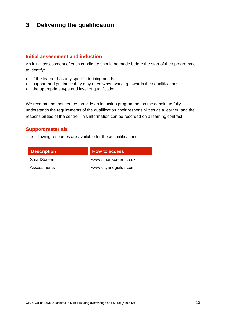# **3 Delivering the qualification**

### **Initial assessment and induction**

An initial assessment of each candidate should be made before the start of their programme to identify:

- if the learner has any specific training needs
- support and guidance they may need when working towards their qualifications
- the appropriate type and level of qualification.

We recommend that centres provide an induction programme, so the candidate fully understands the requirements of the qualification, their responsibilities as a learner, and the responsibilities of the centre. This information can be recorded on a learning contract.

## **Support materials**

The following resources are available for these qualifications:

| <b>Description</b> | <b>How to access</b>  |
|--------------------|-----------------------|
| <b>SmartScreen</b> | www.smartscreen.co.uk |
| <b>Assessments</b> | www.cityandguilds.com |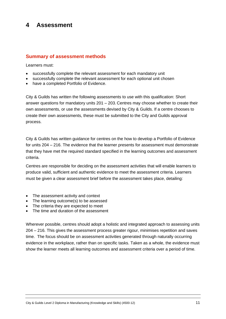# **4 Assessment**

### **Summary of assessment methods**

Learners must:

- successfully complete the relevant assessment for each mandatory unit
- successfully complete the relevant assessment for each optional unit chosen
- have a completed Portfolio of Evidence.

City & Guilds has written the following assessments to use with this qualification: Short answer questions for mandatory units 201 – 203. Centres may choose whether to create their own assessments, or use the assessments devised by City & Guilds. If a centre chooses to create their own assessments, these must be submitted to the City and Guilds approval process.

City & Guilds has written guidance for centres on the how to develop a Portfolio of Evidence for units 204 – 216. The evidence that the learner presents for assessment must demonstrate that they have met the required standard specified in the learning outcomes and assessment criteria.

Centres are responsible for deciding on the assessment activities that will enable learners to produce valid, sufficient and authentic evidence to meet the assessment criteria. Learners must be given a clear assessment brief before the assessment takes place, detailing:

- The assessment activity and context
- The learning outcome(s) to be assessed
- The criteria they are expected to meet
- The time and duration of the assessment

Wherever possible, centres should adopt a holistic and integrated approach to assessing units 204 – 216. This gives the assessment process greater rigour, minimises repetition and saves time. The focus should be on assessment activities generated through naturally occurring evidence in the workplace, rather than on specific tasks. Taken as a whole, the evidence must show the learner meets all learning outcomes and assessment criteria over a period of time.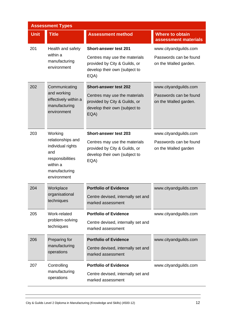| <b>Assessment Types</b> |                                                                                                                          |                                                                                                         |                                                 |  |
|-------------------------|--------------------------------------------------------------------------------------------------------------------------|---------------------------------------------------------------------------------------------------------|-------------------------------------------------|--|
| <b>Unit</b>             | <b>Title</b>                                                                                                             | <b>Assessment method</b>                                                                                | <b>Where to obtain</b><br>assessment materials  |  |
| 201                     | Health and safety<br>within a<br>manufacturing<br>environment                                                            | <b>Short-answer test 201</b>                                                                            | www.cityandguilds.com                           |  |
|                         |                                                                                                                          | Centres may use the materials<br>provided by City & Guilds, or<br>develop their own (subject to<br>EQA) | Passwords can be found<br>on the Walled garden. |  |
| 202                     | Communicating                                                                                                            | <b>Short-answer test 202</b>                                                                            | www.cityandguilds.com                           |  |
|                         | and working<br>effectively within a<br>manufacturing<br>environment                                                      | Centres may use the materials<br>provided by City & Guilds, or<br>develop their own (subject to<br>EQA) | Passwords can be found<br>on the Walled garden. |  |
| 203                     | Working<br>relationships and<br>individual rights<br>and<br>responsibilities<br>within a<br>manufacturing<br>environment | <b>Short-answer test 203</b>                                                                            | www.cityandguilds.com                           |  |
|                         |                                                                                                                          | Centres may use the materials<br>provided by City & Guilds, or<br>develop their own (subject to<br>EQA) | Passwords can be found<br>on the Walled garden  |  |
| 204                     | Workplace<br>organisational<br>techniques                                                                                | <b>Portfolio of Evidence</b>                                                                            | www.cityandguilds.com                           |  |
|                         |                                                                                                                          | Centre devised, internally set and<br>marked assessment                                                 |                                                 |  |
| 205                     | Work-related                                                                                                             | <b>Portfolio of Evidence</b>                                                                            | www.cityandguilds.com                           |  |
|                         | problem-solving<br>techniques                                                                                            | Centre devised, internally set and<br>marked assessment                                                 |                                                 |  |
| 206                     | Preparing for<br>manufacturing<br>operations                                                                             | <b>Portfolio of Evidence</b>                                                                            | www.cityandguilds.com                           |  |
|                         |                                                                                                                          | Centre devised, internally set and<br>marked assessment                                                 |                                                 |  |
| 207                     | Controlling                                                                                                              | <b>Portfolio of Evidence</b>                                                                            | www.cityandguilds.com                           |  |
|                         | manufacturing<br>operations                                                                                              | Centre devised, internally set and<br>marked assessment                                                 |                                                 |  |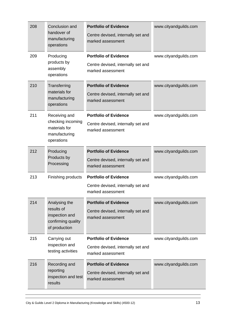| 208 | Conclusion and<br>handover of<br>manufacturing<br>operations                         | <b>Portfolio of Evidence</b><br>Centre devised, internally set and<br>marked assessment | www.cityandguilds.com |
|-----|--------------------------------------------------------------------------------------|-----------------------------------------------------------------------------------------|-----------------------|
| 209 | Producing<br>products by<br>assembly<br>operations                                   | <b>Portfolio of Evidence</b><br>Centre devised, internally set and<br>marked assessment | www.cityandguilds.com |
| 210 | Transferring<br>materials for<br>manufacturing<br>operations                         | <b>Portfolio of Evidence</b><br>Centre devised, internally set and<br>marked assessment | www.cityandguilds.com |
| 211 | Receiving and<br>checking incoming<br>materials for<br>manufacturing<br>operations   | <b>Portfolio of Evidence</b><br>Centre devised, internally set and<br>marked assessment | www.cityandguilds.com |
| 212 | Producing<br>Products by<br>Processing                                               | <b>Portfolio of Evidence</b><br>Centre devised, internally set and<br>marked assessment | www.cityandguilds.com |
| 213 | Finishing products                                                                   | <b>Portfolio of Evidence</b><br>Centre devised, internally set and<br>marked assessment | www.cityandguilds.com |
| 214 | Analysing the<br>results of<br>inspection and<br>confirming quality<br>of production | <b>Portfolio of Evidence</b><br>Centre devised, internally set and<br>marked assessment | www.cityandguilds.com |
| 215 | Carrying out<br>inspection and<br>testing activities                                 | <b>Portfolio of Evidence</b><br>Centre devised, internally set and<br>marked assessment | www.cityandguilds.com |
| 216 | Recording and<br>reporting<br>inspection and test<br>results                         | <b>Portfolio of Evidence</b><br>Centre devised, internally set and<br>marked assessment | www.cityandguilds.com |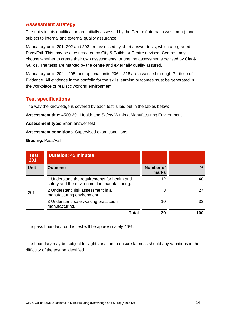# **Assessment strategy**

The units in this qualification are initially assessed by the Centre (internal assessment), and subject to internal and external quality assurance.

Mandatory units 201, 202 and 203 are assessed by short answer tests, which are graded Pass/Fail. This may be a test created by City & Guilds or Centre devised. Centres may choose whether to create their own assessments, or use the assessments devised by City & Guilds. The tests are marked by the centre and externally quality assured.

Mandatory units 204 – 205, and optional units 206 – 216 are assessed through Portfolio of Evidence. All evidence in the portfolio for the skills learning outcomes must be generated in the workplace or realistic working environment.

## **Test specifications**

The way the knowledge is covered by each test is laid out in the tables below:

**Assessment title**: 4500-201 Health and Safety Within a Manufacturing Environment

**Assessment type**: Short answer test

**Assessment conditions**: Supervised exam conditions

**Grading**: Pass/Fail

| Test:<br>201 | <b>Duration: 45 minutes</b>                                                                  |                           |     |
|--------------|----------------------------------------------------------------------------------------------|---------------------------|-----|
| <b>Unit</b>  | <b>Outcome</b>                                                                               | <b>Number of</b><br>marks | %   |
|              | 1 Understand the requirements for health and<br>safety and the environment in manufacturing. | 12                        | 40  |
| 201          | 2 Understand risk assessment in a<br>manufacturing environment.                              | 8                         | 27  |
|              | 3 Understand safe working practices in<br>manufacturing.                                     | 10                        | 33  |
|              | Total                                                                                        |                           | 100 |

The pass boundary for this test will be approximately 46%.

The boundary may be subject to slight variation to ensure fairness should any variations in the difficulty of the test be identified.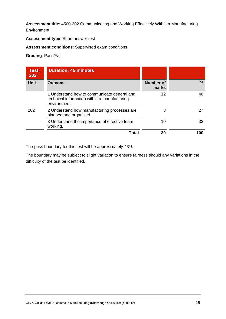### **Assessment title**: 4500-202 Communicating and Working Effectively Within a Manufacturing **Environment**

**Assessment type**: Short answer test

### **Assessment conditions**: Supervised exam conditions

**Grading**: Pass/Fail

| Test:<br>202 | <b>Duration: 45 minutes</b>                                                                                 |                           |    |
|--------------|-------------------------------------------------------------------------------------------------------------|---------------------------|----|
| <b>Unit</b>  | <b>Outcome</b>                                                                                              | <b>Number of</b><br>marks | %  |
|              | 1 Understand how to communicate general and<br>technical information within a manufacturing<br>environment. | 12                        | 40 |
| 202          | 2 Understand how manufacturing processes are<br>planned and organised.                                      | 8                         |    |
|              | 3 Understand the importance of effective team<br>working.                                                   | 10                        | 33 |
|              | <b>Total</b>                                                                                                | 30                        |    |

The pass boundary for this test will be approximately 43%.

The boundary may be subject to slight variation to ensure fairness should any variations in the difficulty of the test be identified.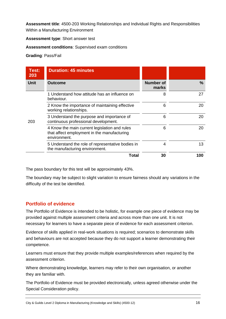**Assessment title**: 4500-203 Working Relationships and Individual Rights and Responsibilities Within a Manufacturing Environment

**Assessment type**: Short answer test

**Assessment conditions**: Supervised exam conditions

**Grading**: Pass/Fail

| Test:<br>203 | <b>Duration: 45 minutes</b>                                                                                  |                           |     |
|--------------|--------------------------------------------------------------------------------------------------------------|---------------------------|-----|
| <b>Unit</b>  | <b>Outcome</b>                                                                                               | <b>Number of</b><br>marks | %   |
| 203          | 1 Understand how attitude has an influence on<br>behaviour.                                                  | 8                         | 27  |
|              | 2 Know the importance of maintaining effective<br>working relationships.                                     | 6                         | 20  |
|              | 3 Understand the purpose and importance of<br>continuous professional development.                           | 6                         | 20  |
|              | 4 Know the main current legislation and rules<br>that affect employment in the manufacturing<br>environment. | 6                         | 20  |
|              | 5 Understand the role of representative bodies in<br>the manufacturing environment.                          | 4                         | 13  |
|              | Total                                                                                                        | 30                        | 100 |

The pass boundary for this test will be approximately 43%.

The boundary may be subject to slight variation to ensure fairness should any variations in the difficulty of the test be identified.

# **Portfolio of evidence**

The Portfolio of Evidence is intended to be holistic, for example one piece of evidence may be provided against multiple assessment criteria and across more than one unit. It is not necessary for learners to have a separate piece of evidence for each assessment criterion.

Evidence of skills applied in real-work situations is required; scenarios to demonstrate skills and behaviours are not accepted because they do not support a learner demonstrating their competence.

Learners must ensure that they provide multiple examples/references when required by the assessment criterion.

Where demonstrating knowledge, learners may refer to their own organisation, or another they are familiar with.

The Portfolio of Evidence must be provided electronically, unless agreed otherwise under the Special Consideration policy.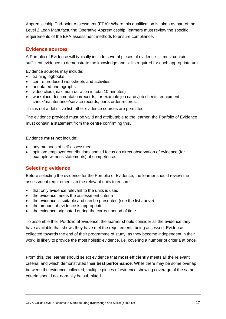Apprenticeship End-point Assessment (EPA): Where this qualification is taken as part of the Level 2 Lean Manufacturing Operative Apprenticeship, learners must review the specific requirements of the EPA assessment methods to ensure compliance.

## **Evidence sources**

A Portfolio of Evidence will typically include several pieces of evidence - it must contain sufficient evidence to demonstrate the knowledge and skills required for each appropriate unit.

Evidence sources may include:

- training logbooks
- centre produced worksheets and activities
- annotated photographs
- video clips (maximum duration in total 10-minutes)
- workplace documentation/records, for example job cards/job sheets, equipment check/maintenance/service records, parts order records.

This is not a definitive list; other evidence sources are permitted.

The evidence provided must be valid and attributable to the learner; the Portfolio of Evidence must contain a statement from the centre confirming this.

### Evidence **must not** include:

- any methods of self-assessment
- opinion: employer contributions should focus on direct observation of evidence (for example witness statements) of competence.

# **Selecting evidence**

Before selecting the evidence for the Portfolio of Evidence, the learner should review the assessment requirements in the relevant units to ensure:

- that only evidence relevant to the units is used
- the evidence meets the assessment criteria
- the evidence is suitable and can be presented (see the list above)
- the amount of evidence is appropriate
- the evidence originated during the correct period of time.

To assemble their Portfolio of Evidence, the learner should consider all the evidence they have available that shows they have met the requirements being assessed. Evidence collected towards the end of their programme of study, as they become independent in their work, is likely to provide the most holistic evidence, i.e. covering a number of criteria at once.

From this, the learner should select evidence that **most efficiently** meets all the relevant criteria, and which demonstrated their **best performance**. While there may be some overlap between the evidence collected, multiple pieces of evidence showing coverage of the same criteria should not normally be submitted.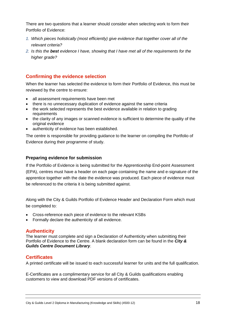There are two questions that a learner should consider when selecting work to form their Portfolio of Evidence:

- *1. Which pieces holistically (most efficiently) give evidence that together cover all of the relevant criteria?*
- *2. Is this the best evidence I have, showing that I have met all of the requirements for the higher grade?*

# **Confirming the evidence selection**

When the learner has selected the evidence to form their Portfolio of Evidence, this must be reviewed by the centre to ensure:

- all assessment requirements have been met
- there is no unnecessary duplication of evidence against the same criteria
- the work selected represents the best evidence available in relation to grading requirements
- the clarity of any images or scanned evidence is sufficient to determine the quality of the original evidence
- authenticity of evidence has been established.

The centre is responsible for providing guidance to the learner on compiling the Portfolio of Evidence during their programme of study.

### **Preparing evidence for submission**

If the Portfolio of Evidence is being submitted for the Apprenticeship End-point Assessment (EPA), centres must have a header on each page containing the name and e-signature of the apprentice together with the date the evidence was produced. Each piece of evidence must be referenced to the criteria it is being submitted against.

Along with the City & Guilds Portfolio of Evidence Header and Declaration Form which must be completed to:

- Cross-reference each piece of evidence to the relevant KSBs
- Formally declare the authenticity of all evidence.

### **Authenticity**

The learner must complete and sign a Declaration of Authenticity when submitting their Portfolio of Evidence to the Centre. A blank declaration form can be found in the *[City &](https://www.cityandguilds.com/delivering-our-qualifications/centre-development/centre-document-library)  [Guilds Centre Document Library](https://www.cityandguilds.com/delivering-our-qualifications/centre-development/centre-document-library)*.

### **Certificates**

A printed certificate will be issued to each successful learner for units and the full qualification.

E-Certificates are a complimentary service for all City & Guilds qualifications enabling customers to view and download PDF versions of certificates.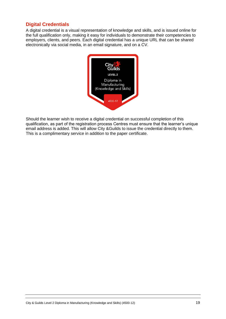# **Digital Credentials**

A digital credential is a visual representation of knowledge and skills, and is issued online for the full qualification only, making it easy for individuals to demonstrate their competencies to employers, clients, and peers. Each digital credential has a unique URL that can be shared electronically via social media, in an email signature, and on a CV.



Should the learner wish to receive a digital credential on successful completion of this qualification, as part of the registration process Centres must ensure that the learner's unique email address is added. This will allow City &Guilds to issue the credential directly to them. This is a complimentary service in addition to the paper certificate.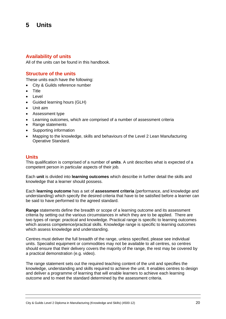# **5 Units**

### **Availability of units**

All of the units can be found in this handbook.

### **Structure of the units**

These units each have the following:

- City & Guilds reference number
- Title
- **Level**
- Guided learning hours (GLH)
- Unit aim
- Assessment type
- Learning outcomes, which are comprised of a number of assessment criteria
- Range statements
- Supporting information
- Mapping to the knowledge, skills and behaviours of the Level 2 Lean Manufacturing Operative Standard.

### **Units**

This qualification is comprised of a number of **units**. A unit describes what is expected of a competent person in particular aspects of their job.

Each **unit** is divided into **learning outcomes** which describe in further detail the skills and knowledge that a learner should possess.

Each **learning outcome** has a set of **assessment criteria** (performance, and knowledge and understanding) which specify the desired criteria that have to be satisfied before a learner can be said to have performed to the agreed standard.

**Range** statements define the breadth or scope of a learning outcome and its assessment criteria by setting out the various circumstances in which they are to be applied. There are two types of range: practical and knowledge. Practical range is specific to learning outcomes which assess competence/practical skills. Knowledge range is specific to learning outcomes which assess knowledge and understanding.

Centres must deliver the full breadth of the range, unless specified, please see individual units. Specialist equipment or commodities may not be available to all centres, so centres should ensure that their delivery covers the majority of the range, the rest may be covered by a practical demonstration (e.g. video).

The range statement sets out the required teaching content of the unit and specifies the knowledge, understanding and skills required to achieve the unit. It enables centres to design and deliver a programme of learning that will enable learners to achieve each learning outcome and to meet the standard determined by the assessment criteria.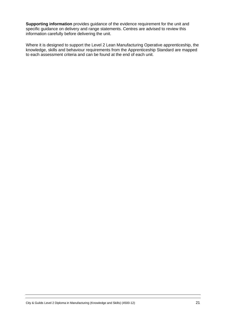**Supporting information** provides guidance of the evidence requirement for the unit and specific guidance on delivery and range statements. Centres are advised to review this information carefully before delivering the unit.

Where it is designed to support the Level 2 Lean Manufacturing Operative apprenticeship, the knowledge, skills and behaviour requirements from the [Apprenticeship Standard](https://www.instituteforapprenticeships.org/apprenticeship-standards/lean-manufacturing-operative-v1-0) are mapped to each assessment criteria and can be found at the end of each unit.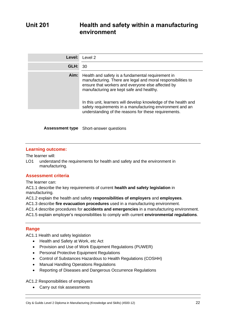| Level: | Level 2                                                                                                                                                                                                                                                                                                                                            |
|--------|----------------------------------------------------------------------------------------------------------------------------------------------------------------------------------------------------------------------------------------------------------------------------------------------------------------------------------------------------|
| GLH:   | 30                                                                                                                                                                                                                                                                                                                                                 |
| Aim:   | Health and safety is a fundamental requirement in<br>manufacturing. There are legal and moral responsibilities to<br>ensure that workers and everyone else affected by<br>manufacturing are kept safe and healthy.<br>In this unit, learners will develop knowledge of the health and<br>safety requirements in a manufacturing environment and an |
|        | understanding of the reasons for these requirements.                                                                                                                                                                                                                                                                                               |

**Assessment type** Short-answer questions

### **Learning outcome:**

The learner will:

LO1 understand the requirements for health and safety and the environment in manufacturing.

### **Assessment criteria**

The learner can:

AC1.1 describe the key requirements of current **health and safety legislation** in manufacturing.

AC1.2 explain the health and safety **responsibilities of employers** and **employees**.

AC1.3 describe **fire evacuation procedures** used in a manufacturing environment.

AC1.4 describe procedures for **accidents and emergencies** in a manufacturing environment.

AC1.5 explain employer's responsibilities to comply with current **environmental regulations**.

### **Range**

AC1.1 Health and safety legislation

- Health and Safety at Work, etc Act
- Provision and Use of Work Equipment Regulations (PUWER)
- Personal Protective Equipment Regulations
- Control of Substances Hazardous to Health Regulations (COSHH)
- Manual Handling Operations Regulations
- Reporting of Diseases and Dangerous Occurrence Regulations

AC1.2 Responsibilities of employers

• Carry out risk assessments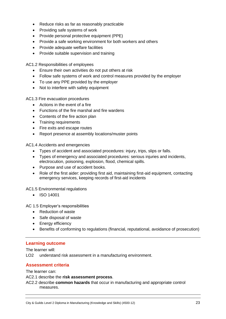- Reduce risks as far as reasonably practicable
- Providing safe systems of work
- Provide personal protective equipment (PPE)
- Provide a safe working environment for both workers and others
- Provide adequate welfare facilities
- Provide suitable supervision and training

AC1.2 Responsibilities of employees

- Ensure their own activities do not put others at risk
- Follow safe systems of work and control measures provided by the employer
- To use any PPE provided by the employer
- Not to interfere with safety equipment

AC1.3 Fire evacuation procedures

- Actions in the event of a fire
- Functions of the fire marshal and fire wardens
- Contents of the fire action plan
- Training requirements
- Fire exits and escape routes
- Report presence at assembly locations/muster points

AC1.4 Accidents and emergencies

- Types of accident and associated procedures: injury, trips, slips or falls.
- Types of emergency and associated procedures: serious injuries and incidents, electrocution, poisoning, explosion, flood, chemical spills.
- Purpose and use of accident books.
- Role of the first aider: providing first aid, maintaining first-aid equipment, contacting emergency services, keeping records of first-aid incidents

AC1.5 Environmental regulations

• ISO 14001

AC 1.5 Employer's responsibilities

- Reduction of waste
- Safe disposal of waste
- Energy efficiency
- Benefits of conforming to regulations (financial, reputational, avoidance of prosecution)

### **Learning outcome**

The learner will:

LO2 understand risk assessment in a manufacturing environment.

### **Assessment criteria**

The learner can:

AC2.1 describe the **risk assessment process**.

AC2.2 describe **common hazards** that occur in manufacturing and appropriate control measures.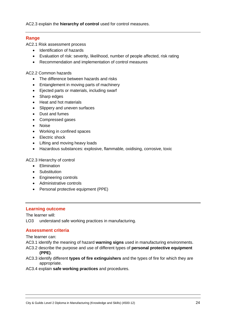AC2.3 explain the **hierarchy of control** used for control measures.

### **Range**

AC2.1 Risk assessment process

- Identification of hazards
- Evaluation of risk: severity, likelihood, number of people affected, risk rating
- Recommendation and implementation of control measures

AC2.2 Common hazards

- The difference between hazards and risks
- Entanglement in moving parts of machinery
- Ejected parts or materials, including swarf
- Sharp edges
- Heat and hot materials
- Slippery and uneven surfaces
- Dust and fumes
- Compressed gases
- Noise
- Working in confined spaces
- Electric shock
- Lifting and moving heavy loads
- Hazardous substances: explosive, flammable, oxidising, corrosive, toxic

AC2.3 Hierarchy of control

- Elimination
- Substitution
- Engineering controls
- Administrative controls
- Personal protective equipment (PPE)

### **Learning outcome**

The learner will:

LO3 understand safe working practices in manufacturing.

### **Assessment criteria**

The learner can:

- AC3.1 identify the meaning of hazard **warning signs** used in manufacturing environments.
- AC3.2 describe the purpose and use of different types of **personal protective equipment (PPE)**.
- AC3.3 identify different **types of fire extinguishers** and the types of fire for which they are appropriate.
- AC3.4 explain **safe working practices** and procedures.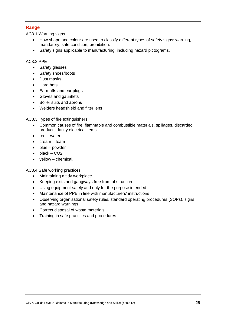### **Range**

AC3.1 Warning signs

- How shape and colour are used to classify different types of safety signs: warning, mandatory, safe condition, prohibition.
- Safety signs applicable to manufacturing, including hazard pictograms.

### AC3.2 PPE

- Safety glasses
- Safety shoes/boots
- Dust masks
- Hard hats
- Earmuffs and ear plugs
- Gloves and gauntlets
- Boiler suits and aprons
- Welders headshield and filter lens

AC3.3 Types of fire extinguishers

- Common causes of fire: flammable and combustible materials, spillages, discarded products, faulty electrical items
- red water
- cream foam
- blue powder
- black CO<sub>2</sub>
- yellow chemical.

AC3.4 Safe working practices

- Maintaining a tidy workplace
- Keeping exits and gangways free from obstruction
- Using equipment safely and only for the purpose intended
- Maintenance of PPE in line with manufacturers' instructions
- Observing organisational safety rules, standard operating procedures (SOPs), signs and hazard warnings
- Correct disposal of waste materials
- Training in safe practices and procedures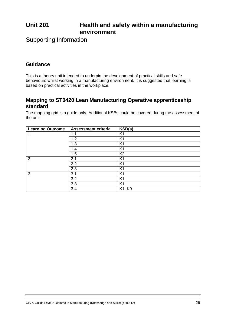# **Unit 201 Health and safety within a manufacturing environment**

Supporting Information

# **Guidance**

This is a theory unit intended to underpin the development of practical skills and safe behaviours whilst working in a manufacturing environment. It is suggested that learning is based on practical activities in the workplace.

# **Mapping to ST0420 Lean Manufacturing Operative apprenticeship standard**

The mapping grid is a guide only. Additional KSBs could be covered during the assessment of the unit.

| <b>Learning Outcome</b> | <b>Assessment criteria</b> | KSB(s)         |
|-------------------------|----------------------------|----------------|
| 1                       | 1.1                        | K <sub>1</sub> |
|                         | 1.2                        | K <sub>1</sub> |
|                         | 1.3                        | K <sub>1</sub> |
|                         | 1.4                        | K <sub>1</sub> |
|                         | 1.5                        | K <sub>2</sub> |
| 2                       | 2.1                        | K <sub>1</sub> |
|                         | 2.2                        | K <sub>1</sub> |
|                         | 2.3                        | K <sub>1</sub> |
| 3                       | 3.1                        | K <sub>1</sub> |
|                         | 3.2                        | K <sub>1</sub> |
|                         | 3.3                        | K <sub>1</sub> |
|                         | 3.4                        | K1, K9         |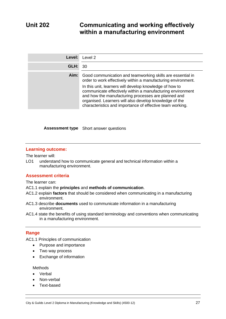# **Unit 202 Communicating and working effectively within a manufacturing environment**

| Level: | Level 2                                                                                                                                                                                                                                                                                                                                                                                                                            |
|--------|------------------------------------------------------------------------------------------------------------------------------------------------------------------------------------------------------------------------------------------------------------------------------------------------------------------------------------------------------------------------------------------------------------------------------------|
| GLH:   | 30                                                                                                                                                                                                                                                                                                                                                                                                                                 |
| Aim:   | Good communication and teamworking skills are essential in<br>order to work effectively within a manufacturing environment.<br>In this unit, learners will develop knowledge of how to<br>communicate effectively within a manufacturing environment<br>and how the manufacturing processes are planned and<br>organised. Learners will also develop knowledge of the<br>characteristics and importance of effective team working. |

**Assessment type** Short answer questions

### **Learning outcome:**

The learner will:

LO1 understand how to communicate general and technical information within a manufacturing environment.

### **Assessment criteria**

The learner can:

- AC1.1 explain the **principles** and **methods of communication**.
- AC1.2 explain **factors** that should be considered when communicating in a manufacturing environment.
- AC1.3 describe **documents** used to communicate information in a manufacturing environment.
- AC1.4 state the benefits of using standard terminology and conventions when communicating in a manufacturing environment.

### **Range**

AC1.1 Principles of communication

- Purpose and importance
- Two way process
- Exchange of information

**Methods** 

- Verbal
- Non-verbal
- Text-based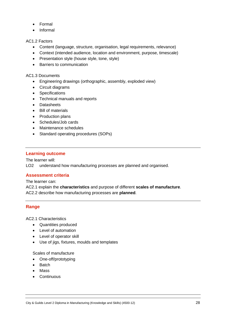- Formal
- Informal

AC1.2 Factors

- Content (language, structure, organisation, legal requirements, relevance)
- Context (intended audience, location and environment, purpose, timescale)
- Presentation style (house style, tone, style)
- Barriers to communication

AC1.3 Documents

- Engineering drawings (orthographic, assembly, exploded view)
- Circuit diagrams
- Specifications
- Technical manuals and reports
- Datasheets
- Bill of materials
- Production plans
- Schedules/Job cards
- Maintenance schedules
- Standard operating procedures (SOPs)

### **Learning outcome**

The learner will:

LO2 understand how manufacturing processes are planned and organised.

### **Assessment criteria**

The learner can:

AC2.1 explain the **characteristics** and purpose of different **scales of manufacture**. AC2.2 describe how manufacturing processes are **planned**.

### **Range**

AC2.1 Characteristics

- Quantities produced
- Level of automation
- Level of operator skill
- Use of jigs, fixtures, moulds and templates

Scales of manufacture

- One-off/prototyping
- Batch
- Mass
- Continuous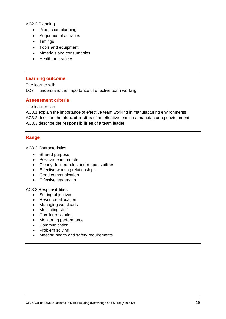### AC2.2 Planning

- Production planning
- Sequence of activities
- Timings
- Tools and equipment
- Materials and consumables
- Health and safety

#### **Learning outcome**

The learner will:

LO3 understand the importance of effective team working.

#### **Assessment criteria**

The learner can:

AC3.1 explain the importance of effective team working in manufacturing environments. AC3.2 describe the **characteristics** of an effective team in a manufacturing environment. AC3.3 describe the **responsibilities** of a team leader.

### **Range**

AC3.2 Characteristics

- Shared purpose
- Positive team morale
- Clearly defined roles and responsibilities
- Effective working relationships
- Good communication
- Effective leadership

#### AC3.3 Responsibilities

- Setting objectives
- Resource allocation
- Managing workloads
- Motivating staff
- Conflict resolution
- Monitoring performance
- Communication
- Problem solving
- Meeting health and safety requirements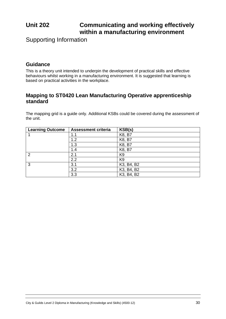# **Unit 202 Communicating and working effectively within a manufacturing environment**

Supporting Information

# **Guidance**

This is a theory unit intended to underpin the development of practical skills and effective behaviours whilst working in a manufacturing environment. It is suggested that learning is based on practical activities in the workplace.

# **Mapping to ST0420 Lean Manufacturing Operative apprenticeship standard**

The mapping grid is a guide only. Additional KSBs could be covered during the assessment of the unit.

| <b>Learning Outcome</b> | <b>Assessment criteria</b> | KSB(s)         |
|-------------------------|----------------------------|----------------|
|                         | 1.1                        | K8, B7         |
|                         | 1.2                        | K8, B7         |
|                         | 1.3                        | K8, B7         |
|                         | 1.4                        | K8, B7         |
| $\mathcal{P}$           | 2.1                        | K <sub>9</sub> |
|                         | 2.2                        | K <sub>9</sub> |
| 3                       | 3.1                        | K3, B4, B2     |
|                         | 3.2                        | K3, B4, B2     |
|                         | 3.3                        | K3, B4, B2     |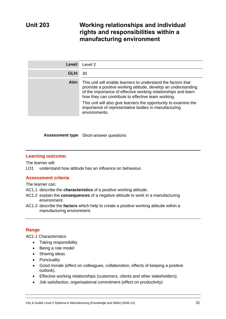# **Unit 203 Working relationships and individual rights and responsibilities within a manufacturing environment**

| Level: | Level 2                                                                                                                                                                                                                                                                                                                                                                                             |
|--------|-----------------------------------------------------------------------------------------------------------------------------------------------------------------------------------------------------------------------------------------------------------------------------------------------------------------------------------------------------------------------------------------------------|
| GLH:   | -30                                                                                                                                                                                                                                                                                                                                                                                                 |
| Aim:   | This unit will enable learners to understand the factors that<br>promote a positive working attitude, develop an understanding<br>of the importance of effective working relationships and learn<br>how they can contribute to effective team working.<br>This unit will also give learners the opportunity to examine the<br>importance of representative bodies in manufacturing<br>environments. |

**Assessment type** Short-answer questions

### **Learning outcome:**

The learner will:

LO1 understand how attitude has an influence on behaviour.

### **Assessment criteria**

The learner can:

- AC1.1 describe the **characteristics** of a positive working attitude.
- AC1.2 explain the **consequences** of a negative attitude to work in a manufacturing environment.
- AC1.3 describe the **factors** which help to create a positive working attitude within a manufacturing environment.

### **Range**

AC1.1 Characteristics

- Taking responsibility
- Being a role model
- Sharing ideas
- Punctuality
- Good morale (effect on colleagues, collaboration, effects of keeping a positive outlook).
- Effective working relationships (customers, clients and other stakeholders).
- Job satisfaction, organisational commitment (effect on productivity)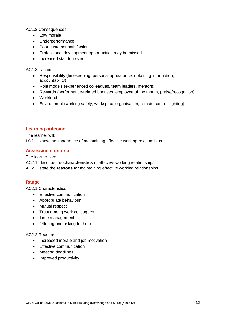### AC1.2 Consequences

- Low morale
- Underperformance
- Poor customer satisfaction
- Professional development opportunities may be missed
- Increased staff turnover

### AC1.3 Factors

- Responsibility (timekeeping, personal appearance, obtaining information, accountability)
- Role models (experienced colleagues, team leaders, mentors)
- Rewards (performance-related bonuses, employee of the month, praise/recognition)
- Workload
- Environment (working safely, workspace organisation, climate control, lighting)

### **Learning outcome**

The learner will:

LO2 know the importance of maintaining effective working relationships.

### **Assessment criteria**

The learner can:

AC2.1 describe the **characteristics** of effective working relationships.

AC2.2 state the **reasons** for maintaining effective working relationships.

### **Range**

AC2.1 Characteristics

- Effective communication
- Appropriate behaviour
- Mutual respect
- Trust among work colleagues
- Time management
- Offering and asking for help

### AC2.2 Reasons

- Increased morale and job motivation
- Effective communication
- Meeting deadlines
- Improved productivity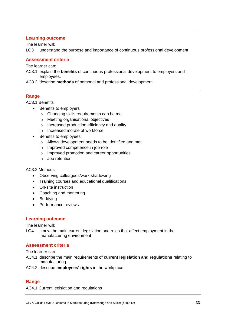### **Learning outcome**

The learner will:

LO3 understand the purpose and importance of continuous professional development.

### **Assessment criteria**

The learner can:

AC3.1 explain the **benefits** of continuous professional development to employers and employees.

AC3.2 describe **methods** of personal and professional development.

### **Range**

AC3.1 Benefits

- Benefits to employers
	- o Changing skills requirements can be met
	- o Meeting organisational objectives
	- o Increased production efficiency and quality
	- o Increased morale of workforce
- Benefits to employees
	- o Allows development needs to be identified and met
	- o Improved competence in job role
	- o Improved promotion and career opportunities
	- o Job retention

#### AC3.2 Methods

- Observing colleagues/work shadowing
- Training courses and educational qualifications
- On-site instruction
- Coaching and mentoring
- Buddying
- Performance reviews

### **Learning outcome**

The learner will:

LO4 know the main current legislation and rules that affect employment in the manufacturing environment.

### **Assessment criteria**

The learner can:

- AC4.1 describe the main requirements of **current legislation and regulations** relating to manufacturing.
- AC4.2 describe **employees' rights** in the workplace.

### **Range**

AC4.1 Current legislation and regulations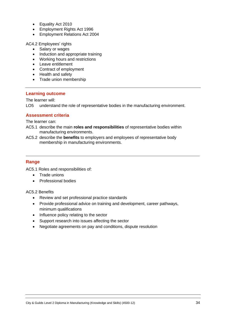- Equality Act 2010
- Employment Rights Act 1996
- Employment Relations Act 2004

AC4.2 Employees' rights

- Salary or wages
- Induction and appropriate training
- Working hours and restrictions
- Leave entitlement
- Contract of employment
- Health and safety
- Trade union membership

### **Learning outcome**

The learner will:

LO5 understand the role of representative bodies in the manufacturing environment.

### **Assessment criteria**

The learner can:

- AC5.1 describe the main **roles and responsibilities** of representative bodies within manufacturing environments.
- AC5.2 describe the **benefits** to employers and employees of representative body membership in manufacturing environments.

### **Range**

AC5.1 Roles and responsibilities of:

- Trade unions
- Professional bodies

### AC5.2 Benefits

- Review and set professional practice standards
- Provide professional advice on training and development, career pathways, minimum qualifications
- Influence policy relating to the sector
- Support research into issues affecting the sector
- Negotiate agreements on pay and conditions, dispute resolution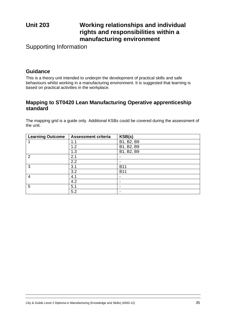# **Unit 203 Working relationships and individual rights and responsibilities within a manufacturing environment**

Supporting Information

# **Guidance**

This is a theory unit intended to underpin the development of practical skills and safe behaviours whilst working in a manufacturing environment. It is suggested that learning is based on practical activities in the workplace.

# **Mapping to ST0420 Lean Manufacturing Operative apprenticeship standard**

The mapping grid is a guide only. Additional KSBs could be covered during the assessment of the unit.

| <b>Learning Outcome</b> | <b>Assessment criteria</b> | KSB(s)                   |
|-------------------------|----------------------------|--------------------------|
|                         | 1.1                        | B1, B2, B9               |
|                         | 1.2                        | B1, B2, B9               |
|                         | 1.3                        | B1, B2, B9               |
| $\overline{2}$          | 2.1                        | $\overline{\phantom{0}}$ |
|                         | 2.2                        | $\overline{\phantom{0}}$ |
| 3                       | 3.1                        | <b>B11</b>               |
|                         | 3.2                        | <b>B11</b>               |
| 4                       | 4.1                        | $\overline{\phantom{a}}$ |
|                         | 4.2                        | ٠                        |
| 5                       | 5.1                        | $\,$                     |
|                         | 5.2                        | $\overline{\phantom{0}}$ |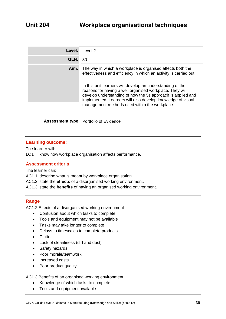| Level: | Level 2                                                                                                                                                                                                                                                                                                                                                                                 |
|--------|-----------------------------------------------------------------------------------------------------------------------------------------------------------------------------------------------------------------------------------------------------------------------------------------------------------------------------------------------------------------------------------------|
| GLH:   | 30                                                                                                                                                                                                                                                                                                                                                                                      |
| Aim:   | The way in which a workplace is organised affects both the<br>effectiveness and efficiency in which an activity is carried out.<br>In this unit learners will develop an understanding of the<br>reasons for having a well organised workplace. They will<br>develop understanding of how the 5s approach is applied and<br>implemented. Learners will also develop knowledge of visual |
|        | management methods used within the workplace.                                                                                                                                                                                                                                                                                                                                           |

**Assessment type** Portfolio of Evidence

### **Learning outcome:**

The learner will:

LO1 know how workplace organisation affects performance.

### **Assessment criteria**

The learner can:

AC1.1 describe what is meant by workplace organisation.

- AC1.2 state the **effects** of a disorganised working environment.
- AC1.3 state the **benefits** of having an organised working environment.

### **Range**

AC1.2 Effects of a disorganised working environment

- Confusion about which tasks to complete
- Tools and equipment may not be available
- Tasks may take longer to complete
- Delays to timescales to complete products
- Clutter
- Lack of cleanliness (dirt and dust)
- Safety hazards
- Poor morale/teamwork
- Increased costs
- Poor product quality

#### AC1.3 Benefits of an organised working environment

- Knowledge of which tasks to complete
- Tools and equipment available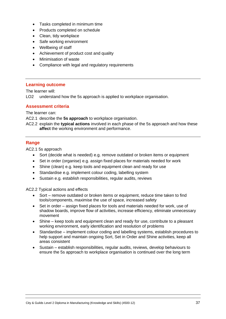- Tasks completed in minimum time
- Products completed on schedule
- Clean, tidy workplace
- Safe working environment
- Wellbeing of staff
- Achievement of product cost and quality
- Minimisation of waste
- Compliance with legal and regulatory requirements

#### **Learning outcome**

The learner will:

LO2 understand how the 5s approach is applied to workplace organisation.

#### **Assessment criteria**

The learner can:

AC2.1 describe the **5s approach** to workplace organisation.

AC2.2 explain the **typical actions** involved in each phase of the 5s approach and how these **affect** the working environment and performance.

#### **Range**

AC2.1 5s approach

- Sort (decide what is needed) e.g. remove outdated or broken items or equipment
- Set in order (organise) e.g. assign fixed places for materials needed for work
- Shine (clean) e.g. keep tools and equipment clean and ready for use
- Standardise e.g. implement colour coding, labelling system
- Sustain e.g. establish responsibilities, regular audits, reviews

AC2.2 Typical actions and effects

- Sort remove outdated or broken items or equipment, reduce time taken to find tools/components, maximise the use of space, increased safety
- Set in order assign fixed places for tools and materials needed for work, use of shadow boards, improve flow of activities, increase efficiency, eliminate unnecessary movement
- Shine keep tools and equipment clean and ready for use, contribute to a pleasant working environment, early identification and resolution of problems
- Standardise implement colour coding and labelling systems, establish procedures to help support and maintain ongoing Sort, Set in Order and Shine activities, keep all areas consistent
- Sustain establish responsibilities, regular audits, reviews, develop behaviours to ensure the 5s approach to workplace organisation is continued over the long term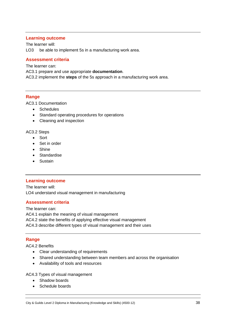#### **Learning outcome**

The learner will: LO3 be able to implement 5s in a manufacturing work area.

#### **Assessment criteria**

The learner can:

AC3.1 prepare and use appropriate **documentation**.

AC3.2 implement the **steps** of the 5s approach in a manufacturing work area.

#### **Range**

AC3.1 Documentation

- Schedules
- Standard operating procedures for operations
- Cleaning and inspection

#### AC3.2 Steps

- Sort
- Set in order
- Shine
- Standardise
- Sustain

#### **Learning outcome**

The learner will: LO4 understand visual management in manufacturing

#### **Assessment criteria**

The learner can: AC4.1 explain the meaning of visual management AC4.2 state the benefits of applying effective visual management AC4.3 describe different types of visual management and their uses

#### **Range**

AC4.2 Benefits

- Clear understanding of requirements
- Shared understanding between team members and across the organisation
- Availability of tools and resources

AC4.3 Types of visual management

- Shadow boards
- Schedule boards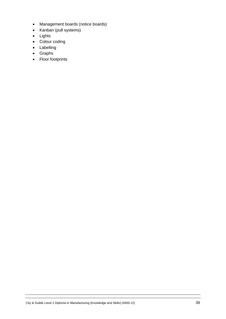- Management boards (notice boards)
- Kanban (pull systems)
- Lights
- Colour coding
- Labelling
- Graphs
- Floor footprints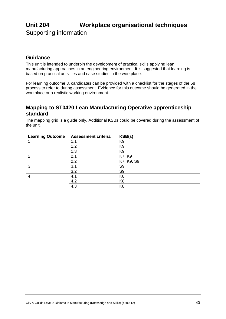# **Unit 204 Workplace organisational techniques**

Supporting information

# **Guidance**

This unit is intended to underpin the development of practical skills applying lean manufacturing approaches in an engineering environment. It is suggested that learning is based on practical activities and case studies in the workplace.

For learning outcome 3, candidates can be provided with a checklist for the stages of the 5s process to refer to during assessment. Evidence for this outcome should be generated in the workplace or a realistic working environment.

# **Mapping to ST0420 Lean Manufacturing Operative apprenticeship standard**

| <b>Learning Outcome</b> | <b>Assessment criteria</b> | KSB(s)         |
|-------------------------|----------------------------|----------------|
|                         | 1.1                        | K <sub>9</sub> |
|                         | 1.2                        | K <sub>9</sub> |
|                         | 1.3                        | K <sub>9</sub> |
| 2                       | 2.1                        | K7, K9         |
|                         | 2.2                        | K7, K9, S9     |
| 3                       | 3.1                        | S <sub>9</sub> |
|                         | 3.2                        | S <sub>9</sub> |
| 4                       | 4.1                        | K <sub>8</sub> |
|                         | 4.2                        | K <sub>8</sub> |
|                         | 4.3                        | K <sub>8</sub> |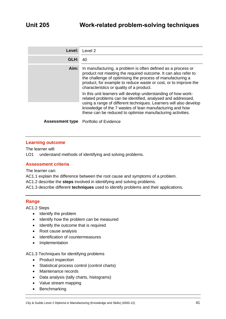| Level: | Level 2                                                                                                                                                                                                                                                                                                                    |
|--------|----------------------------------------------------------------------------------------------------------------------------------------------------------------------------------------------------------------------------------------------------------------------------------------------------------------------------|
| GLH:   | 40                                                                                                                                                                                                                                                                                                                         |
| Aim:   | In manufacturing, a problem is often defined as a process or<br>product not meeting the required outcome. It can also refer to<br>the challenge of optimising the process of manufacturing a<br>product, for example to reduce waste or cost, or to improve the<br>characteristics or quality of a product.                |
|        | In this unit learners will develop understanding of how work-<br>related problems can be identified, analysed and addressed,<br>using a range of different techniques. Learners will also develop<br>knowledge of the 7 wastes of lean manufacturing and how<br>these can be reduced to optimise manufacturing activities. |
|        |                                                                                                                                                                                                                                                                                                                            |
|        | <b>Assessment type</b> Portfolio of Evidence                                                                                                                                                                                                                                                                               |

#### **Learning outcome**

The learner will:

LO1 understand methods of identifying and solving problems.

#### **Assessment criteria**

The learner can:

AC1.1 explain the difference between the root cause and symptoms of a problem.

AC1.2 describe the **steps** involved in identifying and solving problems.

AC1.3 describe different **techniques** used to identify problems and their applications.

#### **Range**

AC1.2 Steps

- Identify the problem
- Identify how the problem can be measured
- Identify the outcome that is required
- Root cause analysis
- Identification of countermeasures
- Implementation

#### AC1.3 Techniques for identifying problems

- Product inspection
- Statistical process control (control charts)
- Maintenance records
- Data analysis (tally charts, histograms)
- Value stream mapping
- Benchmarking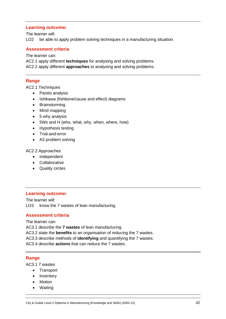#### **Learning outcome:**

The learner will: LO2 be able to apply problem solving techniques in a manufacturing situation.

#### **Assessment criteria**

The learner can:

AC2.1 apply different **techniques** for analysing and solving problems. AC2.2 apply different **approaches** to analysing and solving problems.

#### **Range**

AC2.1 Techniques

- Pareto analysis
- Ishikawa (fishbone/cause and effect) diagrams
- Brainstorming
- Mind mapping
- 5 why analysis
- 5Ws and H (who, what, why, when, where, how)
- Hypothesis testing
- Trial-and-error
- A3 problem solving

#### AC2.2 Approaches

- Independent
- Collaborative
- Quality circles

#### **Learning outcome:**

The learner will: LO3 know the 7 wastes of lean manufacturing.

#### **Assessment criteria**

The learner can:

AC3.1 describe the **7 wastes** of lean manufacturing.

AC3.2 state the **benefits** to an organisation of reducing the 7 wastes.

AC3.3 describe methods of **identifying** and quantifying the 7 wastes.

AC3.4 describe **actions** that can reduce the 7 wastes.

#### **Range**

AC3.1 7 wastes

- Transport
- Inventory
- Motion
- Waiting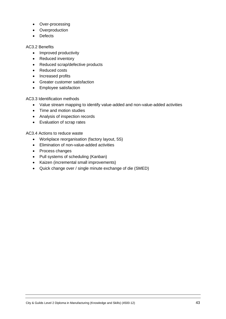- Over-processing
- Overproduction
- Defects

#### AC3.2 Benefits

- Improved productivity
- Reduced inventory
- Reduced scrap/defective products
- Reduced costs
- Increased profits
- Greater customer satisfaction
- Employee satisfaction

AC3.3 Identification methods

- Value stream mapping to identify value-added and non-value-added activities
- Time and motion studies
- Analysis of inspection records
- Evaluation of scrap rates

AC3.4 Actions to reduce waste

- Workplace reorganisation (factory layout, 5S)
- Elimination of non-value-added activities
- Process changes
- Pull systems of scheduling (Kanban)
- Kaizen (incremental small improvements)
- Quick change over / single minute exchange of die (SMED)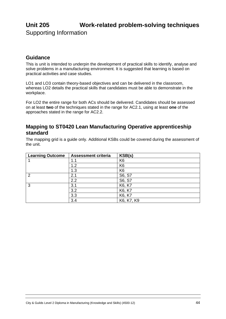# **Unit 205 Work-related problem-solving techniques** Supporting Information

## **Guidance**

This is unit is intended to underpin the development of practical skills to identify, analyse and solve problems in a manufacturing environment. It is suggested that learning is based on practical activities and case studies.

LO1 and LO3 contain theory-based objectives and can be delivered in the classroom, whereas LO2 details the practical skills that candidates must be able to demonstrate in the workplace.

For LO2 the entire range for both ACs should be delivered. Candidates should be assessed on at least **two** of the techniques stated in the range for AC2.1, using at least **one** of the approaches stated in the range for AC2.2.

### **Mapping to ST0420 Lean Manufacturing Operative apprenticeship standard**

| <b>Learning Outcome</b> | <b>Assessment criteria</b> | KSB(s)         |
|-------------------------|----------------------------|----------------|
|                         | 1.1                        | K <sub>6</sub> |
|                         | 1.2                        | K <sub>6</sub> |
|                         | 1.3                        | K <sub>6</sub> |
| $\overline{2}$          | 2.1                        | S6, S7         |
|                         | 2.2                        | S6, S7         |
| 3                       | 3.1                        | K6, K7         |
|                         | 3.2                        | K6, K7         |
|                         | 3.3                        | K6, K7         |
|                         | 3.4                        | K6, K7, K9     |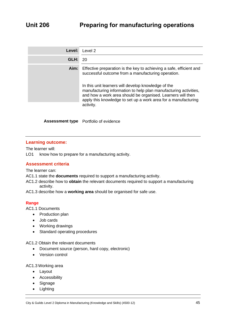| Level: | Level 2                                                                                                                                                                                                                                              |
|--------|------------------------------------------------------------------------------------------------------------------------------------------------------------------------------------------------------------------------------------------------------|
| GLH:   | 20                                                                                                                                                                                                                                                   |
| Aim:   | Effective preparation is the key to achieving a safe, efficient and<br>successful outcome from a manufacturing operation.<br>In this unit learners will develop knowledge of the<br>manufacturing information to help plan manufacturing activities, |
|        | and how a work area should be organised. Learners will then<br>apply this knowledge to set up a work area for a manufacturing<br>activity.                                                                                                           |

**Assessment type** Portfolio of evidence

#### **Learning outcome:**

The learner will:

LO1 know how to prepare for a manufacturing activity.

#### **Assessment criteria**

The learner can:

- AC1.1 state the **documents** required to support a manufacturing activity.
- AC1.2 describe how to **obtain** the relevant documents required to support a manufacturing activity.
- AC1.3 describe how a **working area** should be organised for safe use.

#### **Range**

AC1.1 Documents

- Production plan
- Job cards
- Working drawings
- Standard operating procedures

AC1.2 Obtain the relevant documents

- Document source (person, hard copy, electronic)
- Version control

#### AC1.3 Working area

- Layout
- Accessibility
- Signage
- Lighting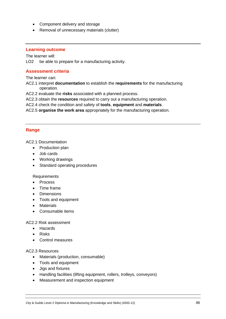- Component delivery and storage
- Removal of unnecessary materials (clutter)

#### **Learning outcome**

The learner will:

LO2 be able to prepare for a manufacturing activity.

#### **Assessment criteria**

The learner can:

AC2.1 interpret **documentation** to establish the **requirements** for the manufacturing operation.

AC2.2 evaluate the **risks** associated with a planned process.

AC2.3 obtain the **resources** required to carry out a manufacturing operation.

AC2.4 check the condition and safety of **tools**, **equipment** and **materials**.

AC2.5 **organise the work area** appropriately for the manufacturing operation.

#### **Range**

AC2.1 Documentation

- Production plan
- Job cards
- Working drawings
- Standard operating procedures

Requirements

- Process
- Time frame
- Dimensions
- Tools and equipment
- Materials
- Consumable items

#### AC2.2 Risk assessment

- Hazards
- Risks
- Control measures

#### AC2.3 Resources

- Materials (production, consumable)
- Tools and equipment
- Jigs and fixtures
- Handling facilities (lifting equipment, rollers, trolleys, conveyors)
- Measurement and inspection equipment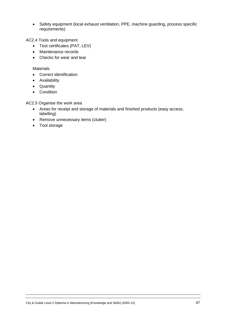• Safety equipment (local exhaust ventilation, PPE, machine guarding, process specific requirements)

AC2.4 Tools and equipment

- Test certificates (PAT, LEV)
- Maintenance records
- Checks for wear and tear

#### **Materials**

- Correct identification
- Availability
- Quantity
- Condition

AC2.5 Organise the work area

- Areas for receipt and storage of materials and finished products (easy access, labelling)
- Remove unnecessary items (clutter)
- Tool storage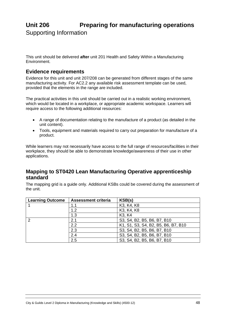# **Unit 206 Preparing for manufacturing operations** Supporting Information

This unit should be delivered **after** unit 201 Health and Safety Within a Manufacturing Environment.

## **Evidence requirements**

Evidence for this unit and unit 207/208 can be generated from different stages of the same manufacturing activity. For AC2.2 any available risk assessment template can be used, provided that the elements in the range are included.

The practical activities in this unit should be carried out in a realistic working environment, which would be located in a workplace, or appropriate academic workspace. Learners will require access to the following additional resources:

- A range of documentation relating to the manufacture of a product (as detailed in the unit content).
- Tools, equipment and materials required to carry out preparation for manufacture of a product.

While learners may not necessarily have access to the full range of resources/facilities in their workplace, they should be able to demonstrate knowledge/awareness of their use in other applications.

# **Mapping to ST0420 Lean Manufacturing Operative apprenticeship standard**

| <b>Learning Outcome</b> | <b>Assessment criteria</b> | KSB(s)                              |
|-------------------------|----------------------------|-------------------------------------|
|                         | 1.1                        | K3, K4, K8                          |
|                         | 1.2                        | K3, K4, K8                          |
|                         | 1.3                        | K <sub>3</sub> , K <sub>4</sub>     |
| 2                       | 2.1                        | S3, S4, B2, B5, B6, B7, B10         |
|                         | 2.2                        | K1, S1, S3, S4, B2, B5, B6, B7, B10 |
|                         | 2.3                        | S3, S4, B2, B5, B6, B7, B10         |
|                         | 2.4                        | S3, S4, B2, B5, B6, B7, B10         |
|                         | 2.5                        | S3, S4, B2, B5, B6, B7, B10         |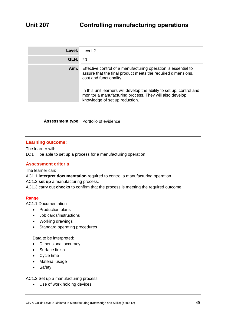| Level: | Level 2                                                                                                                                                                                                                                                                                       |
|--------|-----------------------------------------------------------------------------------------------------------------------------------------------------------------------------------------------------------------------------------------------------------------------------------------------|
| GLH:   | -20                                                                                                                                                                                                                                                                                           |
| Aim:   | Effective control of a manufacturing operation is essential to<br>assure that the final product meets the required dimensions,<br>cost and functionality.<br>In this unit learners will develop the ability to set up, control and<br>monitor a manufacturing process. They will also develop |
|        | knowledge of set up reduction.                                                                                                                                                                                                                                                                |

**Assessment type** Portfolio of evidence

#### **Learning outcome:**

The learner will:

LO1 be able to set up a process for a manufacturing operation.

#### **Assessment criteria**

The learner can:

AC1.1 **interpret documentation** required to control a manufacturing operation.

AC1.2 **set up** a manufacturing process.

AC1.3 carry out **checks** to confirm that the process is meeting the required outcome.

#### **Range**

AC1.1 Documentation

- Production plans
- Job cards/instructions
- Working drawings
- Standard operating procedures

Data to be interpreted:

- Dimensional accuracy
- Surface finish
- Cycle time
- Material usage
- Safety

AC1.2 Set up a manufacturing process

• Use of work holding devices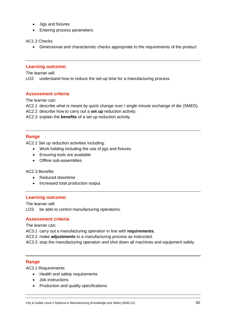- Jigs and fixtures
- Entering process parameters

AC1.3 Checks

• Dimensional and characteristic checks appropriate to the requirements of the product

#### **Learning outcome:**

The learner will:

LO2 understand how to reduce the set-up time for a manufacturing process.

#### **Assessment criteria**

The learner can:

AC2.1 describe what is meant by quick change over / single minute exchange of die (SMED).

AC2.2 describe how to carry out a **set up** reduction activity.

AC2.3 explain the **benefits** of a set up reduction activity.

#### **Range**

AC2.2 Set up reduction activities including:

- Work holding including the use of jigs and fixtures
- Ensuring tools are available
- Offline sub-assemblies

AC2.3 Benefits

- Reduced downtime
- Increased total production output

#### **Learning outcome:**

The learner will:

LO3 be able to control manufacturing operations.

#### **Assessment criteria**

The learner can:

AC3.1 carry out a manufacturing operation in line with **requirements**.

AC3.2 make **adjustments** to a manufacturing process as instructed.

AC3.3 stop the manufacturing operation and shut down all machines and equipment safely.

#### **Range**

AC3.1 Requirements

- Health and safety requirements
- Job instructions
- Production and quality specifications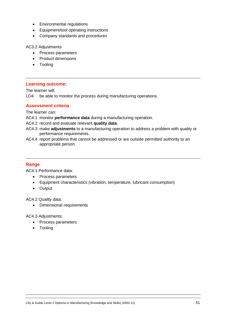- Environmental regulations
- Equipment/tool operating instructions
- Company standards and procedures

#### AC3.2 Adjustments

- Process parameters
- Product dimensions
- Tooling

#### **Learning outcome:**

The learner will:

LO4 be able to monitor the process during manufacturing operations.

#### **Assessment criteria**

The learner can:

- AC4.1 monitor **performance data** during a manufacturing operation.
- AC4.2 record and evaluate relevant **quality data**.
- AC4.3 make **adjustments** to a manufacturing operation to address a problem with quality or performance requirements.
- AC4.4 report problems that cannot be addressed or are outside permitted authority to an appropriate person.

#### **Range**

AC4.1 Performance data:

- Process parameters
- Equipment characteristics (vibration, temperature, lubricant consumption)
- Output

AC4.2 Quality data:

• Dimensional requirements

AC4.3 Adjustments:

- Process parameters
- Tooling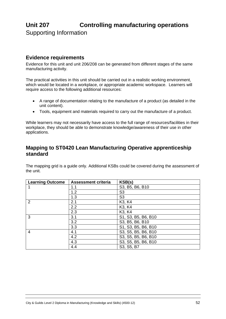# **Unit 207 Controlling manufacturing operations** Supporting Information

# **Evidence requirements**

Evidence for this unit and unit 206/208 can be generated from different stages of the same manufacturing activity.

The practical activities in this unit should be carried out in a realistic working environment, which would be located in a workplace, or appropriate academic workspace. Learners will require access to the following additional resources:

- A range of documentation relating to the manufacture of a product (as detailed in the unit content).
- Tools, equipment and materials required to carry out the manufacture of a product.

While learners may not necessarily have access to the full range of resources/facilities in their workplace, they should be able to demonstrate knowledge/awareness of their use in other applications.

# **Mapping to ST0420 Lean Manufacturing Operative apprenticeship standard**

| <b>Learning Outcome</b> | <b>Assessment criteria</b> | KSB(s)                          |
|-------------------------|----------------------------|---------------------------------|
|                         | 1.1                        | S3, B5, B6, B10                 |
|                         | 1.2                        | S <sub>3</sub>                  |
|                         | 1.3                        | S <sub>3</sub>                  |
| $\overline{2}$          | 2.1                        | K <sub>3</sub> , K <sub>4</sub> |
|                         | 2.2                        | K <sub>3</sub> , K <sub>4</sub> |
|                         | 2.3                        | K <sub>3</sub> , K <sub>4</sub> |
| 3                       | 3.1                        | S1, S3, B5, B6, B10             |
|                         | 3.2                        | S3, B5, B6, B10                 |
|                         | 3.3                        | S1, S3, B5, B6, B10             |
| $\overline{4}$          | 4.1                        | S3, S5, B5, B6, B10             |
|                         | 4.2                        | S3, S5, B5, B6, B10             |
|                         | 4.3                        | S3, S5, B5, B6, B10             |
|                         | 4.4                        | S3, S5, B7                      |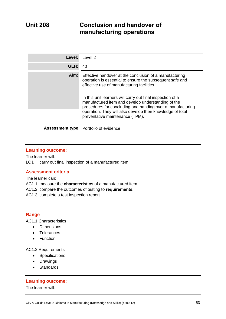# **Unit 208 Conclusion and handover of manufacturing operations**

| Level: | Level 2                                                                                                                                                                                                                                                                                                                                                                                                           |
|--------|-------------------------------------------------------------------------------------------------------------------------------------------------------------------------------------------------------------------------------------------------------------------------------------------------------------------------------------------------------------------------------------------------------------------|
| GLH:   | 40                                                                                                                                                                                                                                                                                                                                                                                                                |
| Aim:   | Effective handover at the conclusion of a manufacturing<br>operation is essential to ensure the subsequent safe and<br>effective use of manufacturing facilities.<br>In this unit learners will carry out final inspection of a<br>manufactured item and develop understanding of the<br>procedures for concluding and handing over a manufacturing<br>operation. They will also develop their knowledge of total |
|        | preventative maintenance (TPM).                                                                                                                                                                                                                                                                                                                                                                                   |
|        | <b>Assessment type</b> Portfolio of evidence                                                                                                                                                                                                                                                                                                                                                                      |

#### **Learning outcome:**

The learner will: LO1 carry out final inspection of a manufactured item.

#### **Assessment criteria**

The learner can:

AC1.1 measure the **characteristics** of a manufactured item.

AC1.2 compare the outcomes of testing to **requirements**.

AC1.3 complete a test inspection report.

#### **Range**

AC1.1 Characteristics

- Dimensions
- Tolerances
- Function

AC1.2 Requirements

- Specifications
- Drawings
- Standards

#### **Learning outcome:**

The learner will: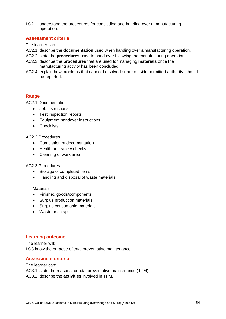LO2 understand the procedures for concluding and handing over a manufacturing operation.

#### **Assessment criteria**

The learner can:

- AC2.1 describe the **documentation** used when handing over a manufacturing operation.
- AC2.2 state the **procedures** used to hand over following the manufacturing operation.
- AC2.3 describe the **procedures** that are used for managing **materials** once the manufacturing activity has been concluded.
- AC2.4 explain how problems that cannot be solved or are outside permitted authority, should be reported.

#### **Range**

AC2.1 Documentation

- Job instructions
- Test inspection reports
- Equipment handover instructions
- Checklists

#### AC2.2 Procedures

- Completion of documentation
- Health and safety checks
- Cleaning of work area

#### AC2.3 Procedures

- Storage of completed items
- Handling and disposal of waste materials

#### **Materials**

- Finished goods/components
- Surplus production materials
- Surplus consumable materials
- Waste or scrap

#### **Learning outcome:**

The learner will: LO3 know the purpose of total preventative maintenance.

#### **Assessment criteria**

#### The learner can:

AC3.1 state the reasons for total preventative maintenance (TPM).

AC3.2 describe the **activities** involved in TPM.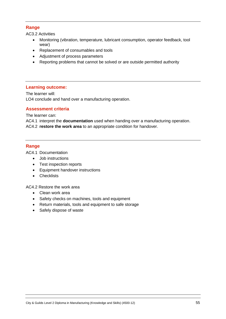### **Range**

AC3.2 Activities

- Monitoring (vibration, temperature, lubricant consumption, operator feedback, tool wear)
- Replacement of consumables and tools
- Adjustment of process parameters
- Reporting problems that cannot be solved or are outside permitted authority

#### **Learning outcome:**

The learner will: LO4 conclude and hand over a manufacturing operation.

#### **Assessment criteria**

The learner can:

AC4.1 interpret the **documentation** used when handing over a manufacturing operation. AC4.2 **restore the work area** to an appropriate condition for handover.

#### **Range**

AC4.1 Documentation

- Job instructions
- Test inspection reports
- Equipment handover instructions
- Checklists

AC4.2 Restore the work area

- Clean work area
- Safety checks on machines, tools and equipment
- Return materials, tools and equipment to safe storage
- Safely dispose of waste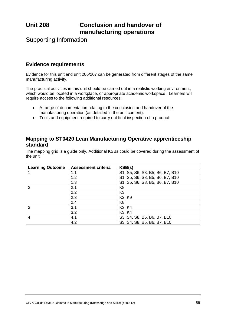# **Unit 208 Conclusion and handover of manufacturing operations**

Supporting Information

## **Evidence requirements**

Evidence for this unit and unit 206/207 can be generated from different stages of the same manufacturing activity.

The practical activities in this unit should be carried out in a realistic working environment, which would be located in a workplace, or appropriate academic workspace. Learners will require access to the following additional resources:

- A range of documentation relating to the conclusion and handover of the manufacturing operation (as detailed in the unit content).
- Tools and equipment required to carry out final inspection of a product.

### **Mapping to ST0420 Lean Manufacturing Operative apprenticeship standard**

| <b>Learning Outcome</b> | <b>Assessment criteria</b> | KSB(s)                          |
|-------------------------|----------------------------|---------------------------------|
|                         | 1.1                        | S1, S5, S6, S8, B5, B6, B7, B10 |
|                         | 1.2                        | S1, S5, S6, S8, B5, B6, B7, B10 |
|                         | 1.3                        | S1, S5, S6, S8, B5, B6, B7, B10 |
| 2                       | 2.1                        | K <sub>8</sub>                  |
|                         | 2.2                        | K <sub>3</sub>                  |
|                         | 2.3                        | K <sub>2</sub> , K <sub>9</sub> |
|                         | 2.4                        | K <sub>8</sub>                  |
| 3                       | 3.1                        | K <sub>3</sub> , K <sub>4</sub> |
|                         | 3.2                        | K <sub>3</sub> , K <sub>4</sub> |
| 4                       | 4.1                        | S3, S4, S8, B5, B6, B7, B10     |
|                         | 4.2                        | S3, S4, S8, B5, B6, B7, B10     |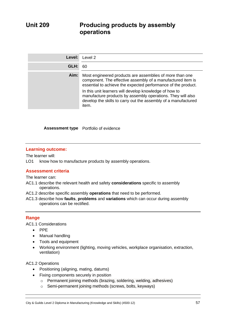| Level: | Level 2                                                                                                                                                                                                                                                                                                                                                                                      |
|--------|----------------------------------------------------------------------------------------------------------------------------------------------------------------------------------------------------------------------------------------------------------------------------------------------------------------------------------------------------------------------------------------------|
| GLH:   | 60                                                                                                                                                                                                                                                                                                                                                                                           |
| Aim:   | Most engineered products are assemblies of more than one<br>component. The effective assembly of a manufactured item is<br>essential to achieve the expected performance of the product.<br>In this unit learners will develop knowledge of how to<br>manufacture products by assembly operations. They will also<br>develop the skills to carry out the assembly of a manufactured<br>item. |

#### **Assessment type** Portfolio of evidence

#### **Learning outcome:**

The learner will:

LO1 know how to manufacture products by assembly operations.

#### **Assessment criteria**

The learner can:

- AC1.1 describe the relevant health and safety **considerations** specific to assembly operations.
- AC1.2 describe specific assembly **operations** that need to be performed.
- AC1.3 describe how **faults**, **problems** and **variations** which can occur during assembly operations can be rectified.

#### **Range**

AC1.1 Considerations

- PPE
- Manual handling
- Tools and equipment
- Working environment (lighting, moving vehicles, workplace organisation, extraction, ventilation)

#### AC1.2 Operations

- Positioning (aligning, mating, datums)
- Fixing components securely in position
	- o Permanent joining methods (brazing, soldering, welding, adhesives)
	- o Semi-permanent joining methods (screws, bolts, keyways)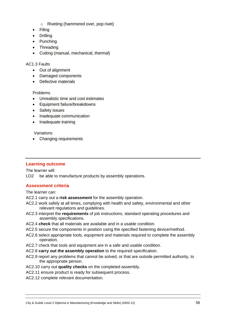- o Riveting (hammered over, pop rivet)
- **Filing**
- Drilling
- Punching
- Threading
- Cutting (manual, mechanical, thermal)

#### AC1.3 Faults

- Out of alignment
- Damaged components
- Defective materials

#### Problems

- Unrealistic time and cost estimates
- Equipment failure/breakdowns
- Safety issues
- Inadequate communication
- Inadequate training

#### Variations

• Changing requirements

### **Learning outcome**

The learner will:

LO2 be able to manufacture products by assembly operations.

### **Assessment criteria**

The learner can:

- AC2.1 carry out a **risk assessment** for the assembly operation.
- AC2.2 work safely at all times, complying with health and safety, environmental and other relevant regulations and guidelines.
- AC2.3 interpret the **requirements** of job instructions, standard operating procedures and assembly specifications.
- AC2.4 **check** that all materials are available and in a usable condition.
- AC2.5 secure the components in position using the specified fastening device/method.
- AC2.6 select appropriate tools, equipment and materials required to complete the assembly operation.
- AC2.7 check that tools and equipment are in a safe and usable condition.
- AC2.8 **carry out the assembly operation** to the required specification.
- AC2.9 report any problems that cannot be solved, or that are outside permitted authority, to the appropriate person.
- AC2.10 carry out **quality checks** on the completed assembly.
- AC2.11 ensure product is ready for subsequent process.
- AC2.12 complete relevant documentation.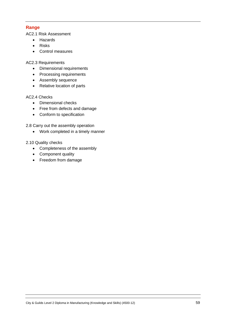### **Range**

AC2.1 Risk Assessment

- Hazards
- Risks
- Control measures

AC2.3 Requirements

- Dimensional requirements
- Processing requirements
- Assembly sequence
- Relative location of parts

#### AC2.4 Checks

- Dimensional checks
- Free from defects and damage
- Conform to specification

2.8 Carry out the assembly operation

• Work completed in a timely manner

#### 2.10 Quality checks

- Completeness of the assembly
- Component quality
- Freedom from damage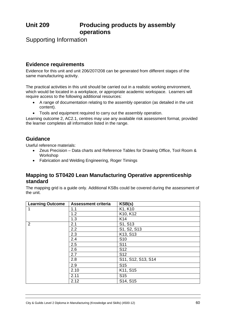# **Unit 209 Producing products by assembly operations**

Supporting Information

# **Evidence requirements**

Evidence for this unit and unit 206/207/208 can be generated from different stages of the same manufacturing activity.

The practical activities in this unit should be carried out in a realistic working environment, which would be located in a workplace, or appropriate academic workspace. Learners will require access to the following additional resources:

- A range of documentation relating to the assembly operation (as detailed in the unit content).
- Tools and equipment required to carry out the assembly operation.

Learning outcome 2, AC2.1, centres may use any available risk assessment format, provided the learner completes all information listed in the range.

# **Guidance**

Useful reference materials:

- Zeus Precision Data charts and Reference Tables for Drawing Office, Tool Room & Workshop
- Fabrication and Welding Engineering, Roger Timings

### **Mapping to ST0420 Lean Manufacturing Operative apprenticeship standard**

| <b>Learning Outcome</b> | <b>Assessment criteria</b> | KSB(s)             |
|-------------------------|----------------------------|--------------------|
| 1                       | 1.1                        | K1, K10            |
|                         | 1.2                        | K10, K12           |
|                         | 1.3                        | K14                |
| 2                       | 2.1                        | S1, S13            |
|                         | 2.2                        | S1, S2, S13        |
|                         | 2.3                        | K13, S13           |
|                         | 2.4                        | S <sub>10</sub>    |
|                         | 2.5                        | S <sub>11</sub>    |
|                         | 2.6                        | S <sub>12</sub>    |
|                         | 2.7                        | S <sub>12</sub>    |
|                         | 2.8                        | S11, S12, S13, S14 |
|                         | 2.9                        | S <sub>15</sub>    |
|                         | 2.10                       | K11, S15           |
|                         | 2.11                       | S <sub>15</sub>    |
|                         | 2.12                       | S14, S15           |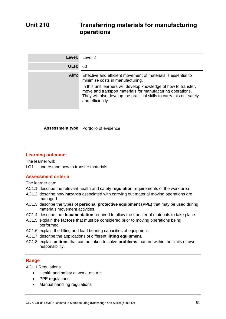| Level: | Level 2                                                                                                                                                                                                                                                                                                                         |
|--------|---------------------------------------------------------------------------------------------------------------------------------------------------------------------------------------------------------------------------------------------------------------------------------------------------------------------------------|
| GLH:   | 60                                                                                                                                                                                                                                                                                                                              |
| Aim:   | Effective and efficient movement of materials is essential to<br>minimise costs in manufacturing.<br>In this unit learners will develop knowledge of how to transfer,<br>move and transport materials for manufacturing operations.<br>They will also develop the practical skills to carry this out safely<br>and efficiently. |

**Assessment type** Portfolio of evidence

#### **Learning outcome:**

The learner will:

LO1 understand how to transfer materials.

#### **Assessment criteria**

The learner can:

- AC1.1 describe the relevant health and safety **regulation** requirements of the work area.
- AC1.2 describe how **hazards** associated with carrying out material moving operations are managed.
- AC1.3 describe the types of **personal protective equipment (PPE)** that may be used during materials movement activities.
- AC1.4 describe the **documentation** required to allow the transfer of materials to take place.
- AC1.5 explain the **factors** that must be considered prior to moving operations being performed.
- AC1.6 explain the lifting and load bearing capacities of equipment.
- AC1.7 describe the applications of different **lifting equipment**.
- AC1.8 explain **actions** that can be taken to solve **problems** that are within the limits of own responsibility.

#### **Range**

AC1.1 Regulations

- Health and safety at work, etc Act
- PPE regulations
- Manual handling regulations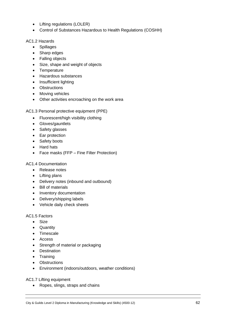- Lifting regulations (LOLER)
- Control of Substances Hazardous to Health Regulations (COSHH)

AC1.2 Hazards

- Spillages
- Sharp edges
- Falling objects
- Size, shape and weight of objects
- Temperature
- Hazardous substances
- Insufficient lighting
- Obstructions
- Moving vehicles
- Other activities encroaching on the work area

AC1.3 Personal protective equipment (PPE)

- Fluorescent/high visibility clothing
- Gloves/gauntlets
- Safety glasses
- Ear protection
- Safety boots
- Hard hats
- Face masks (FFP Fine Filter Protection)

#### AC1.4 Documentation

- Release notes
- Lifting plans
- Delivery notes (inbound and outbound)
- Bill of materials
- Inventory documentation
- Delivery/shipping labels
- Vehicle daily check sheets

#### AC1.5 Factors

- Size
- Quantity
- Timescale
- Access
- Strength of material or packaging
- Destination
- Training
- Obstructions
- Environment (indoors/outdoors, weather conditions)

AC1.7 Lifting equipment

• Ropes, slings, straps and chains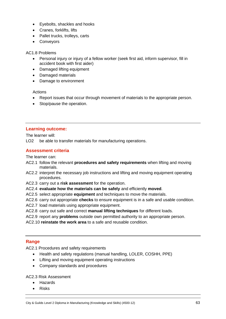- Eyebolts, shackles and hooks
- Cranes, forklifts, lifts
- Pallet trucks, trolleys, carts
- Conveyors

#### AC1.8 Problems

- Personal injury or injury of a fellow worker (seek first aid, inform supervisor, fill in accident book with first aider)
- Damaged lifting equipment
- Damaged materials
- Damage to environment

#### Actions

- Report issues that occur through movement of materials to the appropriate person.
- Stop/pause the operation.

#### **Learning outcome:**

The learner will:

LO2 be able to transfer materials for manufacturing operations.

#### **Assessment criteria**

The learner can:

- AC2.1 follow the relevant **procedures and safety requirements** when lifting and moving materials.
- AC2.2 interpret the necessary job instructions and lifting and moving equipment operating procedures.
- AC2.3 carry out a **risk assessment** for the operation.
- AC2.4 **evaluate how the materials can be safely** and efficiently **moved**.
- AC2.5 select appropriate **equipment** and techniques to move the materials.
- AC2.6 carry out appropriate **checks** to ensure equipment is in a safe and usable condition.
- AC2.7 load materials using appropriate equipment.
- AC2.8 carry out safe and correct **manual lifting techniques** for different loads.
- AC2.9 report any **problems** outside own permitted authority to an appropriate person.
- AC2.10 **reinstate the work area** to a safe and reusable condition.

#### **Range**

AC2.1 Procedures and safety requirements

- Health and safety regulations (manual handling, LOLER, COSHH, PPE)
- Lifting and moving equipment operating instructions
- Company standards and procedures

AC2.3 Risk Assessment

- Hazards
- Risks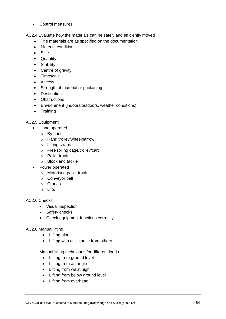• Control measures

AC2.4 Evaluate how the materials can be safely and efficiently moved

- The materials are as specified on the documentation
- Material condition
- Size
- Quantity
- Stability
- Centre of gravity
- Timescale
- Access
- Strength of material or packaging
- Destination
- Obstructions
- Environment (indoors/outdoors, weather conditions)
- Training

#### AC2.5 Equipment

- Hand operated
	- o By hand
	- o Hand trolley/wheelbarrow
	- o Lifting straps
	- o Free rolling cage/trolley/cart
	- o Pallet truck
	- o Block and tackle
- Power operated
	- o Motorised pallet truck
	- o Conveyor belt
	- o Cranes
	- $\circ$  Lifts

#### AC2.6 Checks

- Visual inspection
- Safety checks
- Check equipment functions correctly

#### AC2.8 Manual lifting

- Lifting alone
- Lifting with assistance from others

Manual lifting techniques for different loads

- Lifting from ground level
- Lifting from an angle
- Lifting from waist high
- Lifting from below ground level
- Lifting from overhead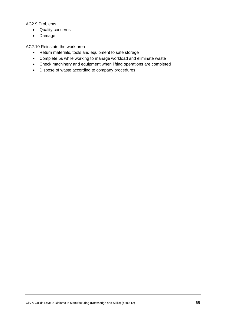#### AC2.9 Problems

- Quality concerns
- Damage

AC2.10 Reinstate the work area

- Return materials, tools and equipment to safe storage
- Complete 5s while working to manage workload and eliminate waste
- Check machinery and equipment when lifting operations are completed
- Dispose of waste according to company procedures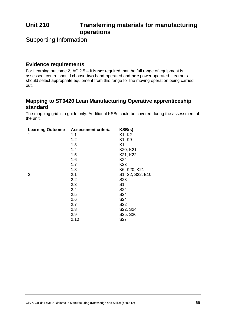# **Unit 210 Transferring materials for manufacturing operations**

Supporting Information

# **Evidence requirements**

For Learning outcome 2, AC 2.5 – it is **not** required that the full range of equipment is assessed, centre should choose **two** hand-operated and **one** power operated. Learners should select appropriate equipment from this range for the moving operation being carried out.

# **Mapping to ST0420 Lean Manufacturing Operative apprenticeship standard**

| <b>Learning Outcome</b> | <b>Assessment criteria</b> | KSB(s)           |
|-------------------------|----------------------------|------------------|
| 1                       | 1.1                        | K1, K2           |
|                         | 1.2                        | K1, K9           |
|                         | 1.3                        | K <sub>1</sub>   |
|                         | 1.4                        | K20, K21         |
|                         | 1.5                        | K21, K22         |
|                         | 1.6                        | K24              |
|                         | 1.7                        | K <sub>23</sub>  |
|                         | 1.8                        | K6, K20, K21     |
| $\overline{2}$          | 2.1                        | S1, S2, S22, B10 |
|                         | 2.2                        | S <sub>23</sub>  |
|                         | 2.3                        | S <sub>1</sub>   |
|                         | 2.4                        | S24              |
|                         | 2.5                        | S24              |
|                         | 2.6                        | S <sub>24</sub>  |
|                         | 2.7                        | S22              |
|                         | 2.8                        | S22, S24         |
|                         | 2.9                        | S25, S26         |
|                         | 2.10                       | <b>S27</b>       |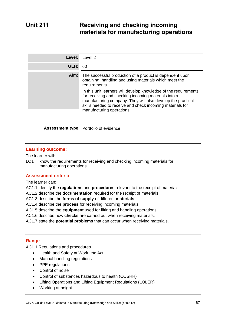# **Unit 211 Receiving and checking incoming materials for manufacturing operations**

| Level: | Level 2                                                                                                                                                                                                                                              |
|--------|------------------------------------------------------------------------------------------------------------------------------------------------------------------------------------------------------------------------------------------------------|
| GLH:   | 60                                                                                                                                                                                                                                                   |
| Aim:   | The successful production of a product is dependent upon<br>obtaining, handling and using materials which meet the<br>requirements.                                                                                                                  |
|        | In this unit learners will develop knowledge of the requirements<br>for receiving and checking incoming materials into a<br>manufacturing company. They will also develop the practical<br>skills needed to receive and check incoming materials for |
|        | manufacturing operations.                                                                                                                                                                                                                            |

**Assessment type** Portfolio of evidence

#### **Learning outcome:**

The learner will:

LO1 know the requirements for receiving and checking incoming materials for manufacturing operations.

#### **Assessment criteria**

The learner can:

- AC1.1 identify the **regulations** and **procedures** relevant to the receipt of materials.
- AC1.2 describe the **documentation** required for the receipt of materials.
- AC1.3 describe the **forms of supply** of different **materials**.
- AC1.4 describe the **process** for receiving incoming materials.
- AC1.5 describe the **equipment** used for lifting and handling operations.
- AC1.6 describe how **checks** are carried out when receiving materials.
- AC1.7 state the **potential problems** that can occur when receiving materials.

#### **Range**

AC1.1 Regulations and procedures

- Health and Safety at Work, etc Act
- Manual handling regulations
- PPE regulations
- Control of noise
- Control of substances hazardous to health (COSHH)
- Lifting Operations and Lifting Equipment Regulations (LOLER)
- Working at height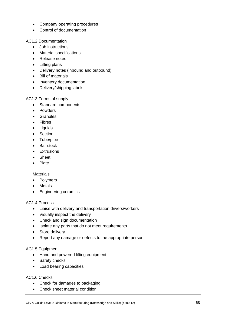- Company operating procedures
- Control of documentation

AC1.2 Documentation

- Job instructions
- Material specifications
- Release notes
- Lifting plans
- Delivery notes (inbound and outbound)
- Bill of materials
- Inventory documentation
- Delivery/shipping labels

#### AC1.3 Forms of supply

- Standard components
- Powders
- Granules
- Fibres
- Liquids
- Section
- Tube/pipe
- Bar stock
- Extrusions
- Sheet
- Plate

#### **Materials**

- Polymers
- Metals
- Engineering ceramics

#### AC1.4 Process

- Liaise with delivery and transportation drivers/workers
- Visually inspect the delivery
- Check and sign documentation
- Isolate any parts that do not meet requirements
- Store delivery
- Report any damage or defects to the appropriate person

#### AC1.5 Equipment

- Hand and powered lifting equipment
- Safety checks
- Load bearing capacities

#### AC1.6 Checks

- Check for damages to packaging
- Check sheet material condition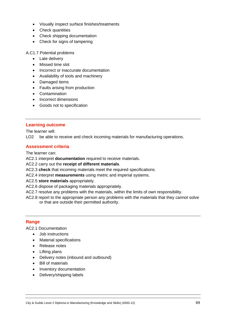- Visually inspect surface finishes/treatments
- Check quantities
- Check shipping documentation
- Check for signs of tampering

A.C1.7 Potential problems

- Late delivery
- Missed time slot
- Incorrect or inaccurate documentation
- Availability of tools and machinery
- Damaged items
- Faults arising from production
- Contamination
- Incorrect dimensions
- Goods not to specification

#### **Learning outcome**

The learner will:

LO<sub>2</sub> be able to receive and check incoming materials for manufacturing operations.

#### **Assessment criteria**

The learner can:

AC2.1 interpret **documentation** required to receive materials.

- AC2.2 carry out the **receipt of different materials**.
- AC2.3 **check** that incoming materials meet the required specifications.
- AC2.4 interpret **measurements** using metric and imperial systems.
- AC2.5 **store materials** appropriately.
- AC2.6 dispose of packaging materials appropriately.
- AC2.7 resolve any problems with the materials, within the limits of own responsibility.
- AC2.8 report to the appropriate person any problems with the materials that they cannot solve or that are outside their permitted authority.

#### **Range**

AC2.1 Documentation

- Job instructions
- Material specifications
- Release notes
- Lifting plans
- Delivery notes (inbound and outbound)
- Bill of materials
- Inventory documentation
- Delivery/shipping labels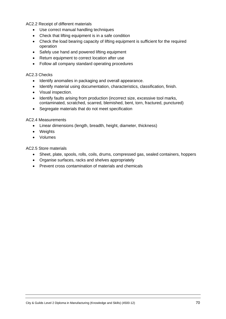AC2.2 Receipt of different materials

- Use correct manual handling techniques
- Check that lifting equipment is in a safe condition
- Check the load bearing capacity of lifting equipment is sufficient for the required operation
- Safely use hand and powered lifting equipment
- Return equipment to correct location after use
- Follow all company standard operating procedures

#### AC2.3 Checks

- Identify anomalies in packaging and overall appearance.
- Identify material using documentation, characteristics, classification, finish.
- Visual inspection.
- Identify faults arising from production (incorrect size, excessive tool marks, contaminated, scratched, scarred, blemished, bent, torn, fractured, punctured)
- Segregate materials that do not meet specification

#### AC2.4 Measurements

- Linear dimensions (length, breadth, height, diameter, thickness)
- Weights
- Volumes

AC2.5 Store materials

- Sheet, plate, spools, rolls, coils, drums, compressed gas, sealed containers, hoppers
- Organise surfaces, racks and shelves appropriately
- Prevent cross contamination of materials and chemicals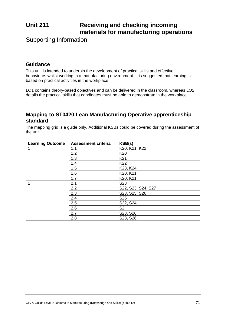# **Unit 211 Receiving and checking incoming materials for manufacturing operations**

Supporting Information

# **Guidance**

This unit is intended to underpin the development of practical skills and effective behaviours whilst working in a manufacturing environment. It is suggested that learning is based on practical activities in the workplace.

LO1 contains theory-based objectives and can be delivered in the classroom, whereas LO2 details the practical skills that candidates must be able to demonstrate in the workplace.

# **Mapping to ST0420 Lean Manufacturing Operative apprenticeship standard**

| <b>Learning Outcome</b> | <b>Assessment criteria</b> | KSB(s)             |
|-------------------------|----------------------------|--------------------|
|                         | 1.1                        | K20, K21, K22      |
|                         | 1.2                        | K <sub>20</sub>    |
|                         | 1.3                        | K <sub>21</sub>    |
|                         | 1.4                        | K <sub>22</sub>    |
|                         | 1.5                        | K23, K24           |
|                         | 1.6                        | K20, K21           |
|                         | 1.7                        | K20, K21           |
| $\overline{2}$          | 2.1                        | S <sub>23</sub>    |
|                         | 2.2                        | S22, S23, S24, S27 |
|                         | 2.3                        | S23, S25, S26      |
|                         | 2.4                        | S <sub>25</sub>    |
|                         | 2.5                        | S22, S24           |
|                         | 2.6                        | S <sub>2</sub>     |
|                         | 2.7                        | S23, S26           |
|                         | 2.8                        | S23, S26           |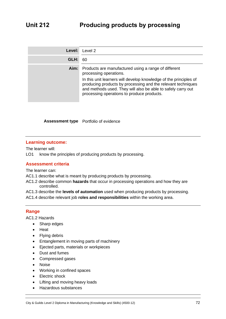| Level: | Level 2                                                                                                                                                                                                                                                                                                                           |
|--------|-----------------------------------------------------------------------------------------------------------------------------------------------------------------------------------------------------------------------------------------------------------------------------------------------------------------------------------|
| GLH:   | 60                                                                                                                                                                                                                                                                                                                                |
| Aim:   | Products are manufactured using a range of different<br>processing operations.<br>In this unit learners will develop knowledge of the principles of<br>producing products by processing and the relevant techniques<br>and methods used. They will also be able to safely carry out<br>processing operations to produce products. |

**Assessment type** Portfolio of evidence

#### **Learning outcome:**

The learner will:

LO1 know the principles of producing products by processing.

#### **Assessment criteria**

The learner can:

AC1.1 describe what is meant by producing products by processing.

AC1.2 describe common **hazards** that occur in processing operations and how they are controlled.

AC1.3 describe the **levels of automation** used when producing products by processing.

AC1.4 describe relevant job **roles and responsibilities** within the working area.

#### **Range**

AC1.2 Hazards

- Sharp edges
- Heat
- Flying debris
- Entanglement in moving parts of machinery
- Ejected parts, materials or workpieces
- Dust and fumes
- Compressed gases
- Noise
- Working in confined spaces
- Electric shock
- Lifting and moving heavy loads
- Hazardous substances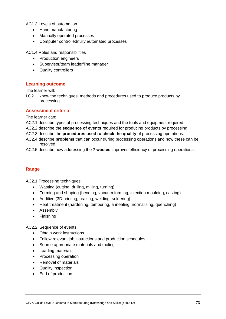AC1.3 Levels of automation

- Hand manufacturing
- Manually operated processes
- Computer controlled/fully automated processes

AC1.4 Roles and responsibilities

- Production engineers
- Supervisor/team leader/line manager
- Quality controllers

#### **Learning outcome**

The learner will:

LO2 know the techniques, methods and procedures used to produce products by processing.

#### **Assessment criteria**

The learner can:

- AC2.1 describe types of processing techniques and the tools and equipment required.
- AC2.2 describe the **sequence of events** required for producing products by processing.
- AC2.3 describe the **procedures used to check the quality** of processing operations.
- AC2.4 describe **problems** that can occur during processing operations and how these can be resolved.
- AC2.5 describe how addressing the **7 wastes** improves efficiency of processing operations.

#### **Range**

AC2.1 Processing techniques

- Wasting (cutting, drilling, milling, turning)
- Forming and shaping (bending, vacuum forming, injection moulding, casting)
- Additive (3D printing, brazing, welding, soldering)
- Heat treatment (hardening, tempering, annealing, normalising, quenching)
- Assembly
- Finishing

AC2.2 Sequence of events

- Obtain work instructions
- Follow relevant job instructions and production schedules
- Source appropriate materials and tooling
- Loading materials
- Processing operation
- Removal of materials
- Quality inspection
- End of production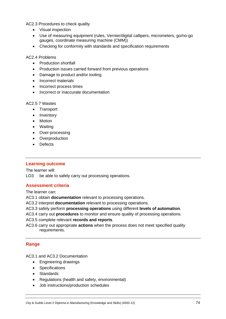AC2.3 Procedures to check quality

- Visual inspection
- Use of measuring equipment (rules, Vernier/digital callipers, micrometers, go/no-go gauges, coordinate measuring machine (CMM))
- Checking for conformity with standards and specification requirements

AC2.4 Problems

- Production shortfall
- Production issues carried forward from previous operations
- Damage to product and/or tooling
- Incorrect materials
- Incorrect process times
- Incorrect or inaccurate documentation

#### AC2.5 7 Wastes

- Transport
- Inventory
- Motion
- Waiting
- Over-processing
- Overproduction
- Defects

#### **Learning outcome**

The learner will:

LO3 be able to safely carry out processing operations.

#### **Assessment criteria**

The learner can:

AC3.1 obtain **documentation** relevant to processing operations.

AC3.2 interpret **documentation** relevant to processing operations.

AC3.3 safely perform **processing operations** using different **levels of automation**.

AC3.4 carry out **procedures** to monitor and ensure quality of processing operations.

AC3.5 complete relevant **records and reports**.

AC3.6 carry out appropriate **actions** when the process does not meet specified quality requirements.

#### **Range**

AC3.1 and AC3.2 Documentation

- Engineering drawings
- Specifications
- Standards
- Regulations (health and safety, environmental)
- Job instructions/production schedules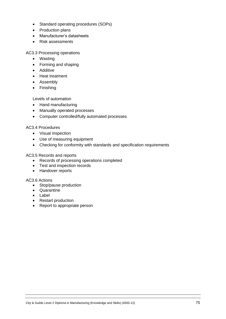- Standard operating procedures (SOPs)
- Production plans
- Manufacturer's datasheets
- Risk assessments

AC3.3 Processing operations

- Wasting
- Forming and shaping
- Additive
- Heat treatment
- Assembly
- Finishing

Levels of automation

- Hand manufacturing
- Manually operated processes
- Computer controlled/fully automated processes

#### AC3.4 Procedures

- Visual inspection
- Use of measuring equipment
- Checking for conformity with standards and specification requirements

#### AC3.5 Records and reports

- Records of processing operations completed
- Test and inspection records
- Handover reports

#### AC3.6 Actions

- Stop/pause production
- Quarantine
- Label
- Restart production
- Report to appropriate person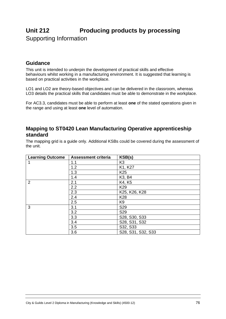# **Unit 212 Producing products by processing** Supporting Information

# **Guidance**

This unit is intended to underpin the development of practical skills and effective behaviours whilst working in a manufacturing environment. It is suggested that learning is based on practical activities in the workplace.

LO1 and LO2 are theory-based objectives and can be delivered in the classroom, whereas LO3 details the practical skills that candidates must be able to demonstrate in the workplace.

For AC3.3, candidates must be able to perform at least **one** of the stated operations given in the range and using at least **one** level of automation.

### **Mapping to ST0420 Lean Manufacturing Operative apprenticeship standard**

The mapping grid is a guide only. Additional KSBs could be covered during the assessment of the unit.

| <b>Learning Outcome</b> | <b>Assessment criteria</b> | KSB(s)                          |
|-------------------------|----------------------------|---------------------------------|
|                         | 1.1                        | K3                              |
|                         | 1.2                        | K1, K27                         |
|                         | 1.3                        | K <sub>25</sub>                 |
|                         | 1.4                        | K <sub>3</sub> , B <sub>4</sub> |
| $\overline{2}$          | 2.1                        | K4, K5                          |
|                         | 2.2                        | K <sub>29</sub>                 |
|                         | 2.3                        | K25, K26, K28                   |
|                         | 2.4                        | K28                             |
|                         | 2.5                        | K <sub>9</sub>                  |
| 3                       | 3.1                        | S <sub>29</sub>                 |
|                         | 3.2                        | S <sub>29</sub>                 |
|                         | 3.3                        | S28, S30, S33                   |
|                         | 3.4                        | S28, S31, S32                   |
|                         | 3.5                        | S32, S33                        |
|                         | 3.6                        | S28, S31, S32, S33              |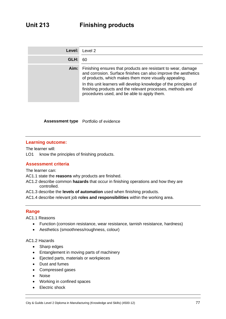| Level: | Level 2                                                                                                                                                                                                                                                                                                                                                                      |
|--------|------------------------------------------------------------------------------------------------------------------------------------------------------------------------------------------------------------------------------------------------------------------------------------------------------------------------------------------------------------------------------|
| GLH:   | 60                                                                                                                                                                                                                                                                                                                                                                           |
| Aim:   | Finishing ensures that products are resistant to wear, damage<br>and corrosion. Surface finishes can also improve the aesthetics<br>of products, which makes them more visually appealing.<br>In this unit learners will develop knowledge of the principles of<br>finishing products and the relevant processes, methods and<br>procedures used, and be able to apply them. |

**Assessment type** Portfolio of evidence

#### **Learning outcome:**

The learner will:

LO1 know the principles of finishing products.

#### **Assessment criteria**

The learner can:

- AC1.1 state the **reasons** why products are finished.
- AC1.2 describe common **hazards** that occur in finishing operations and how they are controlled.
- AC1.3 describe the **levels of automation** used when finishing products.

AC1.4 describe relevant job **roles and responsibilities** within the working area.

#### **Range**

AC1.1 Reasons

- Function (corrosion resistance, wear resistance, tarnish resistance, hardness)
- Aesthetics (smoothness/roughness, colour)

#### AC1.2 Hazards

- Sharp edges
- Entanglement in moving parts of machinery
- Ejected parts, materials or workpieces
- Dust and fumes
- Compressed gases
- Noise
- Working in confined spaces
- **Electric shock**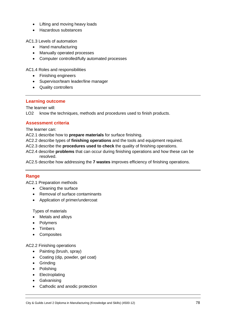- Lifting and moving heavy loads
- Hazardous substances

AC1.3 Levels of automation

- Hand manufacturing
- Manually operated processes
- Computer controlled/fully automated processes

AC1.4 Roles and responsibilities

- Finishing engineers
- Supervisor/team leader/line manager
- Quality controllers

#### **Learning outcome**

The learner will:

LO2 know the techniques, methods and procedures used to finish products.

#### **Assessment criteria**

The learner can:

AC2.1 describe how to **prepare materials** for surface finishing.

- AC2.2 describe types of **finishing operations** and the tools and equipment required.
- AC2.3 describe the **procedures used to check** the quality of finishing operations.
- AC2.4 describe **problems** that can occur during finishing operations and how these can be resolved.

AC2.5 describe how addressing the **7 wastes** improves efficiency of finishing operations.

#### **Range**

AC2.1 Preparation methods

- Cleaning the surface
- Removal of surface contaminants
- Application of primer/undercoat

Types of materials

- Metals and alloys
- Polymers
- Timbers
- Composites

#### AC2.2 Finishing operations

- Painting (brush, spray)
- Coating (dip, powder, gel coat)
- Grinding
- Polishing
- Electroplating
- Galvanising
- Cathodic and anodic protection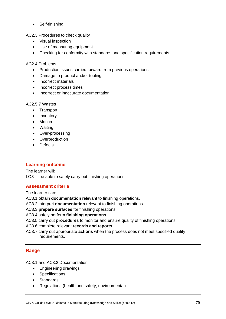• Self-finishing

AC2.3 Procedures to check quality

- Visual inspection
- Use of measuring equipment
- Checking for conformity with standards and specification requirements

#### AC2.4 Problems

- Production issues carried forward from previous operations
- Damage to product and/or tooling
- Incorrect materials
- Incorrect process times
- Incorrect or inaccurate documentation

#### AC2.5 7 Wastes

- Transport
- Inventory
- Motion
- Waiting
- Over-processing
- Overproduction
- Defects

#### **Learning outcome**

The learner will:

LO3 be able to safely carry out finishing operations.

#### **Assessment criteria**

The learner can:

AC3.1 obtain **documentation** relevant to finishing operations.

AC3.2 interpret **documentation** relevant to finishing operations.

AC3.3 **prepare surfaces** for finishing operations.

AC3.4 safely perform **finishing operations**.

AC3.5 carry out **procedures** to monitor and ensure quality of finishing operations.

- AC3.6 complete relevant **records and reports**.
- AC3.7 carry out appropriate **actions** when the process does not meet specified quality requirements.

#### **Range**

AC3.1 and AC3.2 Documentation

- Engineering drawings
- Specifications
- Standards
- Regulations (health and safety, environmental)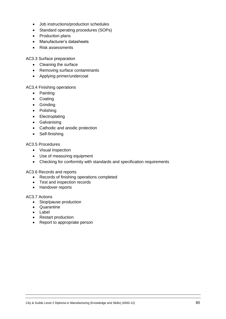- Job instructions/production schedules
- Standard operating procedures (SOPs)
- Production plans
- Manufacturer's datasheets
- Risk assessments

AC3.3 Surface preparation

- Cleaning the surface
- Removing surface contaminants
- Applying primer/undercoat

AC3.4 Finishing operations

- Painting
- Coating
- Grinding
- Polishing
- Electroplating
- Galvanising
- Cathodic and anodic protection
- Self-finishing

#### AC3.5 Procedures

- Visual inspection
- Use of measuring equipment
- Checking for conformity with standards and specification requirements

AC3.6 Records and reports

- Records of finishing operations completed
- Test and inspection records
- Handover reports

#### AC3.7 Actions

- Stop/pause production
- Quarantine
- Label
- Restart production
- Report to appropriate person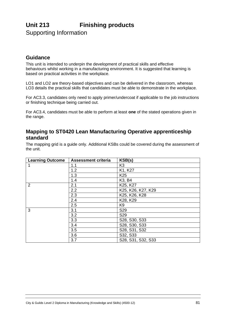# **Unit 213 Finishing products**

Supporting Information

# **Guidance**

This unit is intended to underpin the development of practical skills and effective behaviours whilst working in a manufacturing environment. It is suggested that learning is based on practical activities in the workplace.

LO1 and LO2 are theory-based objectives and can be delivered in the classroom, whereas LO3 details the practical skills that candidates must be able to demonstrate in the workplace.

For AC3.3, candidates only need to apply primer/undercoat if applicable to the job instructions or finishing technique being carried out.

For AC3.4, candidates must be able to perform at least **one** of the stated operations given in the range.

## **Mapping to ST0420 Lean Manufacturing Operative apprenticeship standard**

The mapping grid is a guide only. Additional KSBs could be covered during the assessment of the unit.

| <b>Learning Outcome</b> | <b>Assessment criteria</b> | KSB(s)                          |
|-------------------------|----------------------------|---------------------------------|
|                         | 1.1                        | K <sub>3</sub>                  |
|                         | 1.2                        | K1, K27                         |
|                         | 1.3                        | K <sub>25</sub>                 |
|                         | 1.4                        | K <sub>3</sub> , B <sub>4</sub> |
| $\overline{2}$          | 2.1                        | K25, K27                        |
|                         | 2.2                        | K25, K26, K27, K29              |
|                         | 2.3                        | K25, K26, K28                   |
|                         | 2.4                        | K28, K29                        |
|                         | 2.5                        | K <sub>9</sub>                  |
| 3                       | 3.1                        | S29                             |
|                         | 3.2                        | S29                             |
|                         | 3.3                        | S28, S30, S33                   |
|                         | 3.4                        | S28, S30, S33                   |
|                         | 3.5                        | S28, S31, S32                   |
|                         | 3.6                        | S32, S33                        |
|                         | 3.7                        | S28, S31, S32, S33              |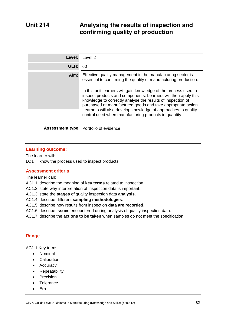# **Unit 214 Analysing the results of inspection and confirming quality of production**

| Level: | Level 2                                                                                                                                                                                                                                                                                                                                                                                     |  |
|--------|---------------------------------------------------------------------------------------------------------------------------------------------------------------------------------------------------------------------------------------------------------------------------------------------------------------------------------------------------------------------------------------------|--|
| GLH:   | 60                                                                                                                                                                                                                                                                                                                                                                                          |  |
| Aim:   | Effective quality management in the manufacturing sector is<br>essential to confirming the quality of manufacturing production.                                                                                                                                                                                                                                                             |  |
|        | In this unit learners will gain knowledge of the process used to<br>inspect products and components. Learners will then apply this<br>knowledge to correctly analyse the results of inspection of<br>purchased or manufactured goods and take appropriate action.<br>Learners will also develop knowledge of approaches to quality<br>control used when manufacturing products in quantity. |  |
|        |                                                                                                                                                                                                                                                                                                                                                                                             |  |
|        | <b>Assessment type</b> Portfolio of evidence                                                                                                                                                                                                                                                                                                                                                |  |

#### **Learning outcome:**

The learner will:

LO1 know the process used to inspect products.

#### **Assessment criteria**

The learner can:

- AC1.1 describe the meaning of **key terms** related to inspection.
- AC1.2 state why interpretation of inspection data is important.
- AC1.3 state the **stages** of quality inspection data **analysis**.
- AC1.4 describe different **sampling methodologies**.
- AC1.5 describe how results from inspection **data are recorded**.
- AC1.6 describe **issues** encountered during analysis of quality inspection data.
- AC1.7 describe the **actions to be taken** when samples do not meet the specification.

#### **Range**

AC1.1 Key terms

- Nominal
- Calibration
- Accuracy
- Repeatability
- Precision
- Tolerance
- Error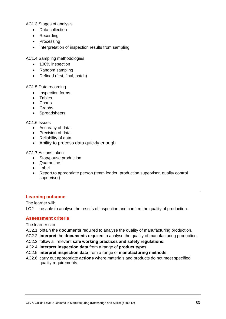AC1.3 Stages of analysis

- Data collection
- Recording
- Processing
- Interpretation of inspection results from sampling

AC1.4 Sampling methodologies

- 100% inspection
- Random sampling
- Defined (first, final, batch)

#### AC1.5 Data recording

- Inspection forms
- Tables
- Charts
- Graphs
- Spreadsheets

#### AC1.6 Issues

- Accuracy of data
- Precision of data
- Reliability of data
- Ability to process data quickly enough

#### AC1.7 Actions taken

- Stop/pause production
- Quarantine
- Label
- Report to appropriate person (team leader, production supervisor, quality control supervisor)

#### **Learning outcome**

The learner will:

LO2 be able to analyse the results of inspection and confirm the quality of production.

#### **Assessment criteria**

The learner can:

- AC2.1 obtain the **documents** required to analyse the quality of manufacturing production.
- AC2.2 **interpret** the **documents** required to analyse the quality of manufacturing production.
- AC2.3 follow all relevant **safe working practices and safety regulations**.
- AC2.4 **interpret inspection data** from a range of **product types**.
- AC2.5 **interpret inspection data** from a range of **manufacturing methods**.
- AC2.6 carry out appropriate **actions** where materials and products do not meet specified quality requirements.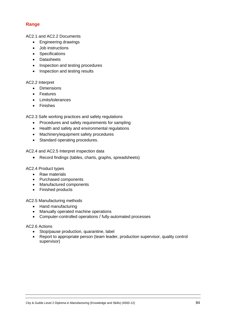### **Range**

AC2.1 and AC2.2 Documents

- Engineering drawings
- Job instructions
- Specifications
- Datasheets
- Inspection and testing procedures
- Inspection and testing results

#### AC2.2 Interpret

- Dimensions
- Features
- Limits/tolerances
- Finishes

AC2.3 Safe working practices and safety regulations

- Procedures and safety requirements for sampling
- Health and safety and environmental regulations
- Machinery/equipment safety procedures
- Standard operating procedures.

AC2.4 and AC2.5 Interpret inspection data

• Record findings (tables, charts, graphs, spreadsheets)

#### AC2.4 Product types

- Raw materials
- Purchased components
- Manufactured components
- Finished products

AC2.5 Manufacturing methods

- Hand manufacturing
- Manually operated machine operations
- Computer-controlled operations / fully-automated processes

#### AC2.6 Actions

- Stop/pause production, quarantine, label
- Report to appropriate person (team leader, production supervisor, quality control supervisor)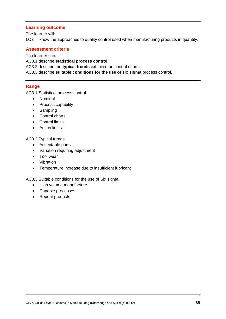#### **Learning outcome**

The learner will:

LO3 know the approaches to quality control used when manufacturing products in quantity.

#### **Assessment criteria**

The learner can:

AC3.1 describe **statistical process control**.

AC3.2 describe the **typical trends** exhibited on control charts.

AC3.3 describe **suitable conditions for the use of six sigma** process control.

#### **Range**

AC3.1 Statistical process control

- Nominal
- Process capability
- Sampling
- Control charts
- Control limits
- Action limits

#### AC3.2 Typical trends

- Acceptable parts
- Variation requiring adjustment
- Tool wear
- Vibration
- Temperature increase due to insufficient lubricant

#### AC3.3 Suitable conditions for the use of Six sigma

- High volume manufacture
- Capable processes
- Repeat products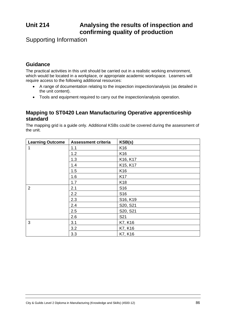# **Unit 214 Analysing the results of inspection and confirming quality of production**

Supporting Information

# **Guidance**

The practical activities in this unit should be carried out in a realistic working environment, which would be located in a workplace, or appropriate academic workspace. Learners will require access to the following additional resources:

- A range of documentation relating to the inspection inspection/analysis (as detailed in the unit content).
- Tools and equipment required to carry out the inspection/analysis operation.

# **Mapping to ST0420 Lean Manufacturing Operative apprenticeship standard**

The mapping grid is a guide only. Additional KSBs could be covered during the assessment of the unit.

| <b>Learning Outcome</b> | <b>Assessment criteria</b> | KSB(s)          |
|-------------------------|----------------------------|-----------------|
| 1                       | 1.1                        | K16             |
|                         | 1.2                        | K16             |
|                         | 1.3                        | K16, K17        |
|                         | 1.4                        | K15, K17        |
|                         | 1.5                        | K16             |
|                         | 1.6                        | K17             |
|                         | 1.7                        | K <sub>18</sub> |
| $\overline{2}$          | 2.1                        | S <sub>16</sub> |
|                         | 2.2                        | S <sub>16</sub> |
|                         | 2.3                        | S16, K19        |
|                         | 2.4                        | S20, S21        |
|                         | 2.5                        | S20, S21        |
|                         | 2.6                        | S21             |
| 3                       | 3.1                        | K7, K16         |
|                         | 3.2                        | K7, K16         |
|                         | 3.3                        | K7, K16         |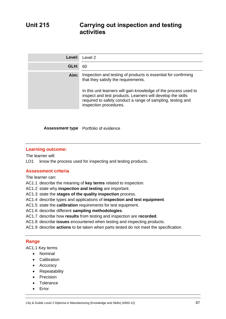| Level: | Level 2                                                                                                                                                                                                                                                                                                                           |
|--------|-----------------------------------------------------------------------------------------------------------------------------------------------------------------------------------------------------------------------------------------------------------------------------------------------------------------------------------|
| GLH:   | 60                                                                                                                                                                                                                                                                                                                                |
| Aim:   | Inspection and testing of products is essential for confirming<br>that they satisfy the requirements.<br>In this unit learners will gain knowledge of the process used to<br>inspect and test products. Learners will develop the skills<br>required to safely conduct a range of sampling, testing and<br>inspection procedures. |

#### **Assessment type** Portfolio of evidence

#### **Learning outcome:**

The learner will:

LO1 know the process used for inspecting and testing products.

#### **Assessment criteria**

The learner can:

- AC1.1 describe the meaning of **key terms** related to inspection.
- AC1.2 state why **inspection and testing** are important.
- AC1.3 state the **stages of the quality inspection** process.
- AC1.4 describe types and applications of **inspection and test equipment**.
- AC1.5 state the **calibration** requirements for test equipment.
- AC1.6 describe different **sampling methodologies**.
- AC1.7 describe how **results** from testing and inspection are **recorded**.
- AC1.8 describe **issues** encountered when testing and inspecting products.
- AC1.9 describe **actions** to be taken when parts tested do not meet the specification.

#### **Range**

AC1.1 Key terms

- Nominal
- Calibration
- Accuracy
- Repeatability
- Precision
- Tolerance
- Error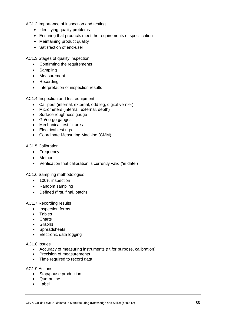AC1.2 Importance of inspection and testing

- Identifying quality problems
- Ensuring that products meet the requirements of specification
- Maintaining product quality
- Satisfaction of end-user

AC1.3 Stages of quality inspection

- Confirming the requirements
- Sampling
- Measurement
- Recording
- Interpretation of inspection results

AC1.4 Inspection and test equipment

- Callipers (internal, external, odd leg, digital vernier)
- Micrometers (internal, external, depth)
- Surface roughness gauge
- Go/no-go gauges
- Mechanical test fixtures
- Electrical test rigs
- Coordinate Measuring Machine (CMM)

#### AC1.5 Calibration

- Frequency
- Method
- Verification that calibration is currently valid ('in date')

AC1.6 Sampling methodologies

- 100% inspection
- Random sampling
- Defined (first, final, batch)

AC1.7 Recording results

- Inspection forms
- Tables
- Charts
- Graphs
- Spreadsheets
- Electronic data logging

#### AC1.8 Issues

- Accuracy of measuring instruments (fit for purpose, calibration)
- Precision of measurements
- Time required to record data

AC1.9 Actions

- Stop/pause production
- Quarantine
- Label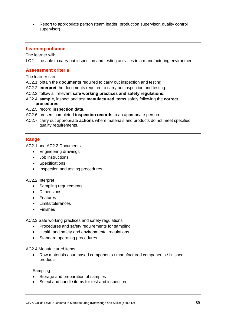• Report to appropriate person (team leader, production supervisor, quality control supervisor)

#### **Learning outcome**

The learner will:

LO2 be able to carry out inspection and testing activities in a manufacturing environment.

#### **Assessment criteria**

The learner can:

- AC2.1 obtain the **documents** required to carry out inspection and testing.
- AC2.2 **interpret** the documents required to carry out inspection and testing.
- AC2.3 follow all relevant **safe working practices and safety regulations**.
- AC2.4 **sample**, inspect and test **manufactured items** safely following the **correct procedures**.

#### AC2.5 record **inspection data**.

- AC2.6 present completed **inspection records** to an appropriate person.
- AC2.7 carry out appropriate **actions** where materials and products do not meet specified quality requirements.

#### **Range**

AC2.1 and AC2.2 Documents

- Engineering drawings
- Job instructions
- Specifications
- Inspection and testing procedures

#### AC2.2 Interpret

- Sampling requirements
- Dimensions
- **Features**
- Limits/tolerances
- Finishes

AC2.3 Safe working practices and safety regulations

- Procedures and safety requirements for sampling
- Health and safety and environmental regulations
- Standard operating procedures.

AC2.4 Manufactured items

• Raw materials / purchased components / manufactured components / finished products

Sampling

- Storage and preparation of samples
- Select and handle items for test and inspection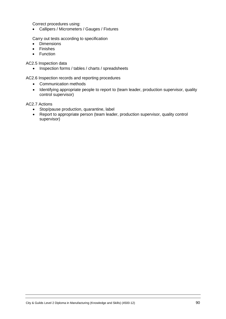Correct procedures using:

• Callipers / Micrometers / Gauges / Fixtures

Carry out tests according to specification

- Dimensions
- Finishes
- Function

AC2.5 Inspection data

• Inspection forms / tables / charts / spreadsheets

AC2.6 Inspection records and reporting procedures

- Communication methods
- Identifying appropriate people to report to (team leader, production supervisor, quality control supervisor)

AC2.7 Actions

- Stop/pause production, quarantine, label
- Report to appropriate person (team leader, production supervisor, quality control supervisor)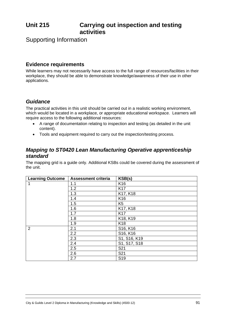# **Unit 215 Carrying out inspection and testing activities**

Supporting Information

# **Evidence requirements**

While learners may not necessarily have access to the full range of resources/facilities in their workplace, they should be able to demonstrate knowledge/awareness of their use in other applications.

# *Guidance*

The practical activities in this unit should be carried out in a realistic working environment, which would be located in a workplace, or appropriate educational workspace. Learners will require access to the following additional resources:

- A range of documentation relating to inspection and testing (as detailed in the unit content).
- Tools and equipment required to carry out the inspection/testing process.

# *Mapping to ST0420 Lean Manufacturing Operative apprenticeship standard*

The mapping grid is a guide only. Additional KSBs could be covered during the assessment of the unit.

| <b>Learning Outcome</b> | <b>Assessment criteria</b> | KSB(s)          |
|-------------------------|----------------------------|-----------------|
| 1                       | 1.1                        | K <sub>16</sub> |
|                         | 1.2                        | <b>K17</b>      |
|                         | 1.3                        | K17, K18        |
|                         | 1.4                        | K <sub>16</sub> |
|                         | 1.5                        | K <sub>5</sub>  |
|                         | 1.6                        | K17, K18        |
|                         | 1.7                        | K <sub>17</sub> |
|                         | 1.8                        | K18, K19        |
|                         | 1.9                        | K <sub>18</sub> |
| $\overline{2}$          | 2.1                        | S16, K16        |
|                         | 2.2                        | S16, K16        |
|                         | 2.3                        | S1, S16, K19    |
|                         | 2.4                        | S1, S17, S18    |
|                         | 2.5                        | S <sub>21</sub> |
|                         | 2.6                        | S21             |
|                         | 2.7                        | S <sub>19</sub> |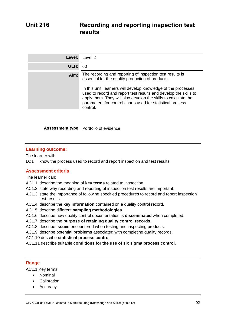| Level: | Level 2                                                                                                                                                                                                                                                                                                                                                                                          |
|--------|--------------------------------------------------------------------------------------------------------------------------------------------------------------------------------------------------------------------------------------------------------------------------------------------------------------------------------------------------------------------------------------------------|
| GLH:   | 60                                                                                                                                                                                                                                                                                                                                                                                               |
| Aim:   | The recording and reporting of inspection test results is<br>essential for the quality production of products.<br>In this unit, learners will develop knowledge of the processes<br>used to record and report test results and develop the skills to<br>apply them. They will also develop the skills to calculate the<br>parameters for control charts used for statistical process<br>control. |

#### **Assessment type** Portfolio of evidence

#### **Learning outcome:**

The learner will:

LO1 know the process used to record and report inspection and test results.

#### **Assessment criteria**

The learner can:

- AC1.1 describe the meaning of **key terms** related to inspection.
- AC1.2 state why recording and reporting of inspection test results are important.
- AC1.3 state the importance of following specified procedures to record and report inspection test results.
- AC1.4 describe the **key information** contained on a quality control record.
- AC1.5 describe different **sampling methodologies**.
- AC1.6 describe how quality control documentation is **disseminated** when completed.
- AC1.7 describe the **purpose of retaining quality control records**.
- AC1.8 describe **issues** encountered when testing and inspecting products.
- AC1.9 describe potential **problems** associated with completing quality records.
- AC1.10 describe **statistical process control**.
- AC1.11 describe suitable **conditions for the use of six sigma process control**.

#### **Range**

AC1.1 Key terms

- Nominal
- Calibration
- Accuracy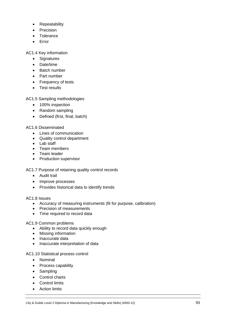- Repeatability
- **Precision**
- Tolerance
- Error

AC1.4 Key information

- Signatures
- Date/time
- Batch number
- Part number
- Frequency of tests
- Test results

AC1.5 Sampling methodologies

- 100% inspection
- Random sampling
- Defined (first, final, batch)

#### AC1.6 Disseminated

- Lines of communication
- Quality control department
- Lab staff
- Team members
- Team leader
- Production supervisor

AC1.7 Purpose of retaining quality control records

- Audit trail
- Improve processes
- Provides historical data to identify trends

#### AC1.8 Issues

- Accuracy of measuring instruments (fit for purpose, calibration)
- Precision of measurements
- Time required to record data

#### AC1.9 Common problems

- Ability to record data quickly enough
- Missing information
- Inaccurate data
- Inaccurate interpretation of data

#### AC1.10 Statistical process control

- Nominal
- Process capability
- Sampling
- Control charts
- Control limits
- Action limits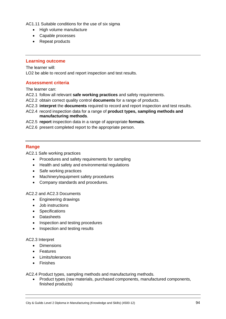AC1.11 Suitable conditions for the use of six sigma

- High volume manufacture
- Capable processes
- Repeat products

#### **Learning outcome**

The learner will:

LO2 be able to record and report inspection and test results.

#### **Assessment criteria**

The learner can:

- AC2.1 follow all relevant **safe working practices** and safety requirements.
- AC2.2 obtain correct quality control **documents** for a range of products.
- AC2.3 **interpret** the **documents** required to record and report inspection and test results.
- AC2.4 record inspection data for a range of **product types, sampling methods and manufacturing methods**.
- AC2.5 **report** inspection data in a range of appropriate **formats**.
- AC2.6 present completed report to the appropriate person.

#### **Range**

AC2.1 Safe working practices

- Procedures and safety requirements for sampling
- Health and safety and environmental regulations
- Safe working practices
- Machinery/equipment safety procedures
- Company standards and procedures.

#### AC2.2 and AC2.3 Documents

- Engineering drawings
- Job instructions
- Specifications
- Datasheets
- Inspection and testing procedures
- Inspection and testing results

#### AC2.3 Interpret

- Dimensions
- **Features**
- Limits/tolerances
- **Finishes**

AC2.4 Product types, sampling methods and manufacturing methods.

• Product types (raw materials, purchased components, manufactured components, finished products)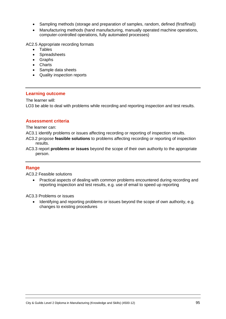- Sampling methods (storage and preparation of samples, random, defined (first/final))
- Manufacturing methods (hand manufacturing, manually operated machine operations, computer-controlled operations, fully automated processes)

AC2.5 Appropriate recording formats

- Tables
- **Spreadsheets**
- Graphs
- Charts
- Sample data sheets
- Quality inspection reports

#### **Learning outcome**

The learner will: LO3 be able to deal with problems while recording and reporting inspection and test results.

#### **Assessment criteria**

The learner can:

AC3.1 identify problems or issues affecting recording or reporting of inspection results.

- AC3.2 propose **feasible solutions** to problems affecting recording or reporting of inspection results.
- AC3.3 report **problems or issues** beyond the scope of their own authority to the appropriate person.

#### **Range**

AC3.2 Feasible solutions

• Practical aspects of dealing with common problems encountered during recording and reporting inspection and test results, e.g. use of email to speed up reporting

AC3.3 Problems or issues

• Identifying and reporting problems or issues beyond the scope of own authority, e.g. changes to existing procedures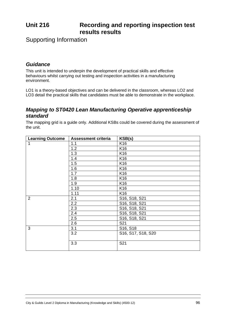# **Unit 216 Recording and reporting inspection test results results**

Supporting Information

## *Guidance*

This unit is intended to underpin the development of practical skills and effective behaviours whilst carrying out testing and inspection activities in a manufacturing environment.

LO1 is a theory-based objectives and can be delivered in the classroom, whereas LO2 and LO3 detail the practical skills that candidates must be able to demonstrate in the workplace.

### *Mapping to ST0420 Lean Manufacturing Operative apprenticeship standard*

The mapping grid is a guide only. Additional KSBs could be covered during the assessment of the unit.

| <b>Learning Outcome</b> | <b>Assessment criteria</b> | KSB(s)             |
|-------------------------|----------------------------|--------------------|
| 1                       | 1.1                        | K <sub>16</sub>    |
|                         | 1.2                        | K <sub>16</sub>    |
|                         | 1.3                        | K <sub>16</sub>    |
|                         | 1.4                        | K <sub>16</sub>    |
|                         | 1.5                        | K <sub>16</sub>    |
|                         | 1.6                        | K16                |
|                         | 1.7                        | K <sub>16</sub>    |
|                         | 1.8                        | K16                |
|                         | 1.9                        | K <sub>16</sub>    |
|                         | 1.10                       | K <sub>16</sub>    |
|                         | 1.11                       | K <sub>16</sub>    |
| $\overline{2}$          | 2.1                        | S16, S18, S21      |
|                         | 2.2                        | S16, S18, S21      |
|                         | 2.3                        | S16, S18, S21      |
|                         | 2.4                        | S16, S18, S21      |
|                         | 2.5                        | S16, S18, S21      |
|                         | 2.6                        | S21                |
| 3                       | 3.1                        | S16, S18           |
|                         | 3.2                        | S16, S17, S18, S20 |
|                         | 3.3                        | S21                |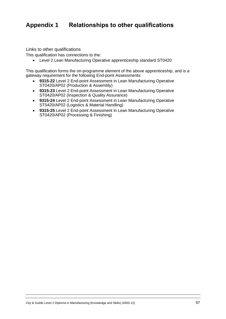# **Appendix 1 Relationships to other qualifications**

Links to other qualifications

This qualification has connections to the:

• Level 2 Lean Manufacturing Operative apprenticeship standard ST0420

This qualification forms the on-programme element of the above apprenticeship, and is a gateway requirement for the following End-point Assessments:

- **9315-22** Level 2 End-point Assessment in Lean Manufacturing Operative ST0420/AP02 (Production & Assembly)
- **9315-23** Level 2 End-point Assessment in Lean Manufacturing Operative ST0420/AP02 (Inspection & Quality Assurance)
- **9315-24** Level 2 End-point Assessment in Lean Manufacturing Operative ST0420/AP02 (Logistics & Material Handling)
- **9315-25** Level 2 End-point Assessment in Lean Manufacturing Operative ST0420/AP02 (Processing & Finishing)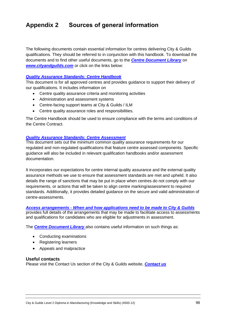# **Appendix 2 Sources of general information**

The following documents contain essential information for centres delivering City & Guilds qualifications. They should be referred to in conjunction with this handbook. To download the documents and to find other useful documents, go to the *[Centre Document Library](https://www.cityandguilds.com/delivering-our-qualifications/centre-development/centre-document-library)* on *[www.cityandguilds.com](http://www.cityandguilds.com/)* or click on the links below:

#### *[Quality Assurance Standards: Centre Handbook](https://www.cityandguilds.com/-/media/ilm-website/sharepoint-documents/_published-documents/qas-centre-handbook-pdf.ashx?la=en&hash=4A5447E601FBB9B560AAE285C5ECD56173ED22DA)*

This document is for all approved centres and provides guidance to support their delivery of our qualifications. It includes information on

- Centre quality assurance criteria and monitoring activities
- Administration and assessment systems
- Centre-facing support teams at City & Guilds / ILM
- Centre quality assurance roles and responsibilities.

The Centre Handbook should be used to ensure compliance with the terms and conditions of the Centre Contract.

#### *[Quality Assurance Standards: Centre Assessment](https://www.cityandguilds.com/-/media/ilm-website/sharepoint-documents/_published-documents/qas-centre-assessment-pdf.ashx?la=en&hash=2E8427DC28E5517AFE5778E08398F69DF48EB554)*

This document sets out the minimum common quality assurance requirements for our regulated and non-regulated qualifications that feature centre assessed components. Specific guidance will also be included in relevant qualification handbooks and/or assessment documentation.

It incorporates our expectations for centre internal quality assurance and the external quality assurance methods we use to ensure that assessment standards are met and upheld. It also details the range of sanctions that may be put in place when centres do not comply with our requirements, or actions that will be taken to align centre marking/assessment to required standards. Additionally, it provides detailed guidance on the secure and valid administration of centre-assessments.

#### *Access arrangements - [When and how applications need to be made to City & Guilds](https://www.cityandguilds.com/-/media/cityandguilds-site/documents/delivering-our-qualifications/access-arrangements-when-and-how-to-apply-pdf.ashx?la=en&hash=8358C1BB86F242D18E468D771939693867E9CBEE)*

provides full details of the arrangements that may be made to facilitate access to assessments and qualifications for candidates who are eligible for adjustments in assessment.

The *[Centre Document Library](https://www.cityandguilds.com/delivering-our-qualifications/centre-development/centre-document-library)* also contains useful information on such things as:

- Conducting examinations
- Registering learners
- Appeals and malpractice

#### **Useful contacts**

Please visit the Contact Us section of the City & Guilds website, *[Contact us](https://www.cityandguilds.com/help/contact-us)*